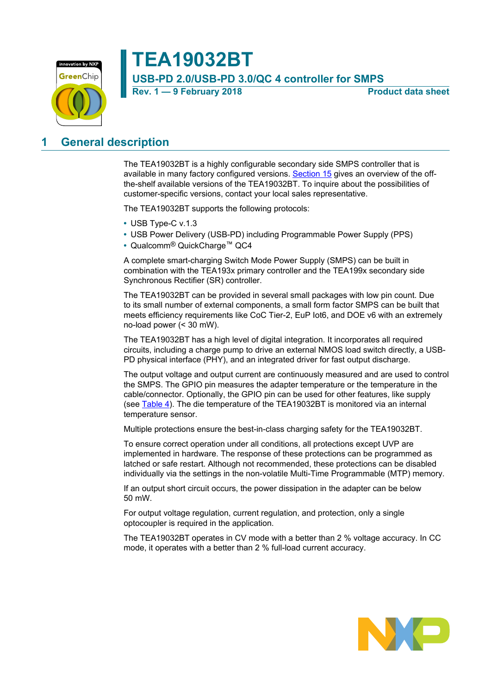

### **TEA19032BT USB-PD 2.0/USB-PD 3.0/QC 4 controller for SMPS**

**Rev. 1 — 9 February 2018 Product data sheet**

### <span id="page-0-0"></span>**1 General description**

The TEA19032BT is a highly configurable secondary side SMPS controller that is available in many factory configured versions. [Section 15](#page-28-0) gives an overview of the offthe-shelf available versions of the TEA19032BT. To inquire about the possibilities of customer-specific versions, contact your local sales representative.

The TEA19032BT supports the following protocols:

- **•** USB Type-C v.1.3
- **•** USB Power Delivery (USB-PD) including Programmable Power Supply (PPS)
- **•** Qualcomm® QuickCharge™ QC4

A complete smart-charging Switch Mode Power Supply (SMPS) can be built in combination with the TEA193x primary controller and the TEA199x secondary side Synchronous Rectifier (SR) controller.

The TEA19032BT can be provided in several small packages with low pin count. Due to its small number of external components, a small form factor SMPS can be built that meets efficiency requirements like CoC Tier-2, EuP Iot6, and DOE v6 with an extremely no-load power (< 30 mW).

The TEA19032BT has a high level of digital integration. It incorporates all required circuits, including a charge pump to drive an external NMOS load switch directly, a USB-PD physical interface (PHY), and an integrated driver for fast output discharge.

The output voltage and output current are continuously measured and are used to control the SMPS. The GPIO pin measures the adapter temperature or the temperature in the cable/connector. Optionally, the GPIO pin can be used for other features, like supply (see [Table 4\)](#page-15-0). The die temperature of the TEA19032BT is monitored via an internal temperature sensor.

Multiple protections ensure the best-in-class charging safety for the TEA19032BT.

To ensure correct operation under all conditions, all protections except UVP are implemented in hardware. The response of these protections can be programmed as latched or safe restart. Although not recommended, these protections can be disabled individually via the settings in the non-volatile Multi-Time Programmable (MTP) memory.

If an output short circuit occurs, the power dissipation in the adapter can be below 50 mW.

For output voltage regulation, current regulation, and protection, only a single optocoupler is required in the application.

The TEA19032BT operates in CV mode with a better than 2 % voltage accuracy. In CC mode, it operates with a better than 2 % full-load current accuracy.

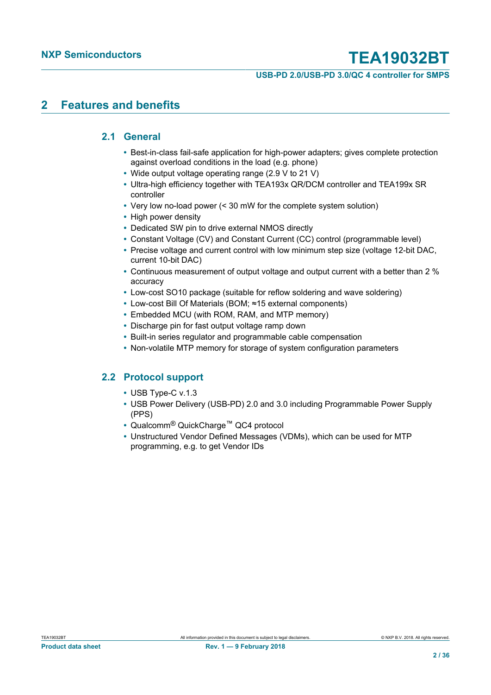#### **USB-PD 2.0/USB-PD 3.0/QC 4 controller for SMPS**

### <span id="page-1-0"></span>**2 Features and benefits**

### **2.1 General**

- <span id="page-1-1"></span>**•** Best-in-class fail-safe application for high-power adapters; gives complete protection against overload conditions in the load (e.g. phone)
- **•** Wide output voltage operating range (2.9 V to 21 V)
- **•** Ultra-high efficiency together with TEA193x QR/DCM controller and TEA199x SR controller
- **•** Very low no-load power (< 30 mW for the complete system solution)
- **•** High power density
- **•** Dedicated SW pin to drive external NMOS directly
- **•** Constant Voltage (CV) and Constant Current (CC) control (programmable level)
- **•** Precise voltage and current control with low minimum step size (voltage 12-bit DAC, current 10-bit DAC)
- **•** Continuous measurement of output voltage and output current with a better than 2 % accuracy
- **•** Low-cost SO10 package (suitable for reflow soldering and wave soldering)
- **•** Low-cost Bill Of Materials (BOM; ≈15 external components)
- **•** Embedded MCU (with ROM, RAM, and MTP memory)
- **•** Discharge pin for fast output voltage ramp down
- **•** Built-in series regulator and programmable cable compensation
- **•** Non-volatile MTP memory for storage of system configuration parameters

### **2.2 Protocol support**

- <span id="page-1-2"></span>**•** USB Type-C v.1.3
- **•** USB Power Delivery (USB-PD) 2.0 and 3.0 including Programmable Power Supply (PPS)
- **•** Qualcomm® QuickCharge™ QC4 protocol
- **•** Unstructured Vendor Defined Messages (VDMs), which can be used for MTP programming, e.g. to get Vendor IDs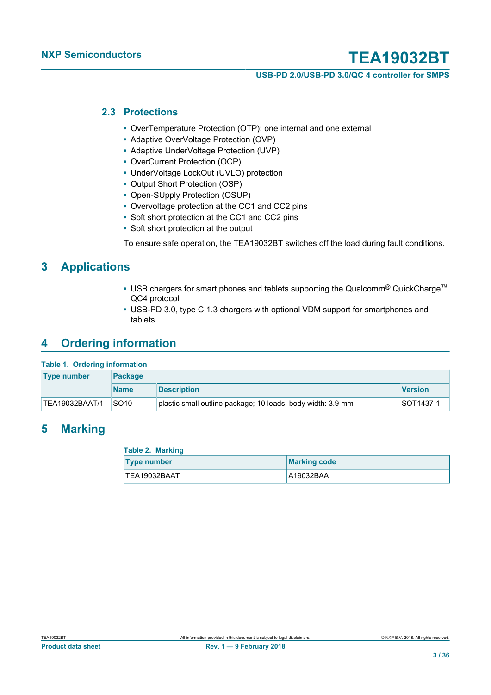**USB-PD 2.0/USB-PD 3.0/QC 4 controller for SMPS**

#### **2.3 Protections**

- <span id="page-2-0"></span>**•** OverTemperature Protection (OTP): one internal and one external
- **•** Adaptive OverVoltage Protection (OVP)
- **•** Adaptive UnderVoltage Protection (UVP)
- **•** OverCurrent Protection (OCP)
- **•** UnderVoltage LockOut (UVLO) protection
- **•** Output Short Protection (OSP)
- **•** Open-SUpply Protection (OSUP)
- **•** Overvoltage protection at the CC1 and CC2 pins
- **•** Soft short protection at the CC1 and CC2 pins
- **•** Soft short protection at the output

To ensure safe operation, the TEA19032BT switches off the load during fault conditions.

### <span id="page-2-1"></span>**3 Applications**

- **•** USB chargers for smart phones and tablets supporting the Qualcomm® QuickCharge™ QC4 protocol
- **•** USB-PD 3.0, type C 1.3 chargers with optional VDM support for smartphones and tablets

### <span id="page-2-2"></span>**4 Ordering information**

#### **Table 1. Ordering information**

| <b>Type number</b> | <b>Package</b>   |                                                             |                |  |  |  |  |
|--------------------|------------------|-------------------------------------------------------------|----------------|--|--|--|--|
|                    | <b>Name</b>      | <b>Description</b>                                          | <b>Version</b> |  |  |  |  |
| 'TEA19032BAAT/1    | SO <sub>10</sub> | plastic small outline package; 10 leads; body width: 3.9 mm | SOT1437-1      |  |  |  |  |

### <span id="page-2-3"></span>**5 Marking**

| <b>Table 2. Marking</b> |                     |
|-------------------------|---------------------|
| <b>Type number</b>      | <b>Marking code</b> |
| TEA19032BAAT            | A19032BAA           |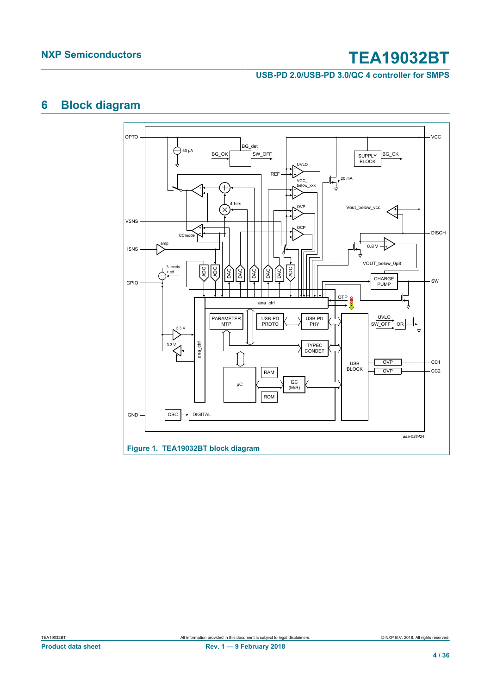**USB-PD 2.0/USB-PD 3.0/QC 4 controller for SMPS**

### <span id="page-3-0"></span>**6 Block diagram**

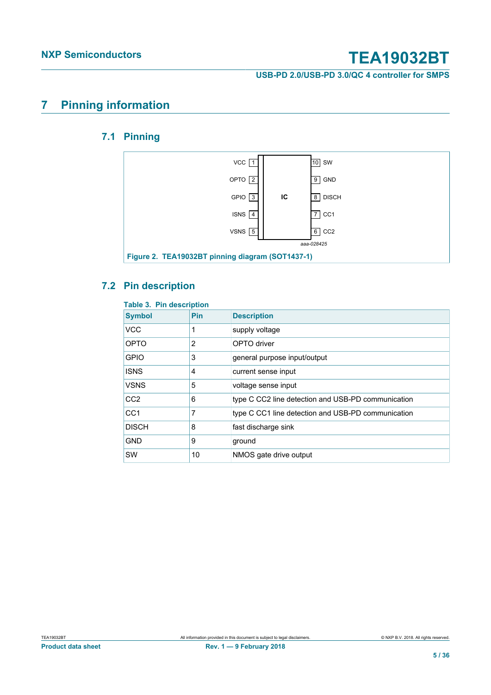**USB-PD 2.0/USB-PD 3.0/QC 4 controller for SMPS**

### <span id="page-4-0"></span>**7 Pinning information**

### <span id="page-4-1"></span>**7.1 Pinning**



### **7.2 Pin description**

<span id="page-4-2"></span>

| <b>Table 3. Pin description</b> |            |                                                    |  |  |  |  |
|---------------------------------|------------|----------------------------------------------------|--|--|--|--|
| <b>Symbol</b>                   | <b>Pin</b> | <b>Description</b>                                 |  |  |  |  |
| <b>VCC</b>                      |            | supply voltage                                     |  |  |  |  |
| OPTO                            | 2          | OPTO driver                                        |  |  |  |  |
| <b>GPIO</b>                     | 3          | general purpose input/output                       |  |  |  |  |
| <b>ISNS</b>                     | 4          | current sense input                                |  |  |  |  |
| <b>VSNS</b>                     | 5          | voltage sense input                                |  |  |  |  |
| CC <sub>2</sub>                 | 6          | type C CC2 line detection and USB-PD communication |  |  |  |  |
| CC <sub>1</sub>                 | 7          | type C CC1 line detection and USB-PD communication |  |  |  |  |
| <b>DISCH</b>                    | 8          | fast discharge sink                                |  |  |  |  |
| <b>GND</b>                      | 9          | ground                                             |  |  |  |  |
| <b>SW</b>                       | 10         | NMOS gate drive output                             |  |  |  |  |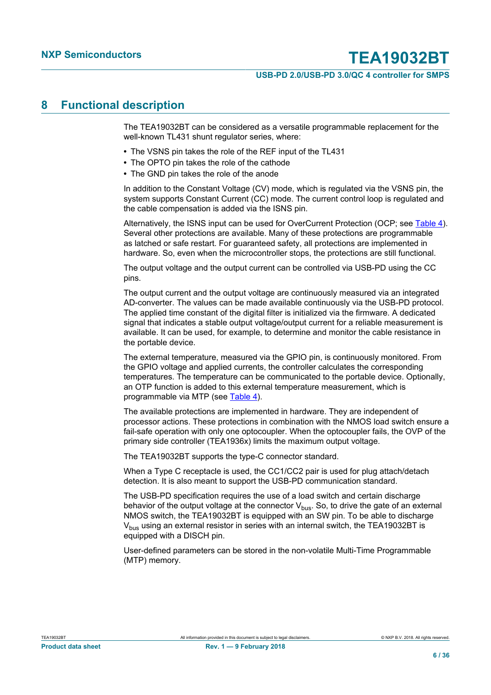#### **USB-PD 2.0/USB-PD 3.0/QC 4 controller for SMPS**

### <span id="page-5-0"></span>**8 Functional description**

The TEA19032BT can be considered as a versatile programmable replacement for the well-known TL431 shunt regulator series, where:

- **•** The VSNS pin takes the role of the REF input of the TL431
- **•** The OPTO pin takes the role of the cathode
- **•** The GND pin takes the role of the anode

In addition to the Constant Voltage (CV) mode, which is regulated via the VSNS pin, the system supports Constant Current (CC) mode. The current control loop is regulated and the cable compensation is added via the ISNS pin.

Alternatively, the ISNS input can be used for OverCurrent Protection (OCP; see [Table 4](#page-15-0)). Several other protections are available. Many of these protections are programmable as latched or safe restart. For guaranteed safety, all protections are implemented in hardware. So, even when the microcontroller stops, the protections are still functional.

The output voltage and the output current can be controlled via USB-PD using the CC pins.

The output current and the output voltage are continuously measured via an integrated AD-converter. The values can be made available continuously via the USB-PD protocol. The applied time constant of the digital filter is initialized via the firmware. A dedicated signal that indicates a stable output voltage/output current for a reliable measurement is available. It can be used, for example, to determine and monitor the cable resistance in the portable device.

The external temperature, measured via the GPIO pin, is continuously monitored. From the GPIO voltage and applied currents, the controller calculates the corresponding temperatures. The temperature can be communicated to the portable device. Optionally, an OTP function is added to this external temperature measurement, which is programmable via MTP (see [Table 4](#page-15-0)).

The available protections are implemented in hardware. They are independent of processor actions. These protections in combination with the NMOS load switch ensure a fail-safe operation with only one optocoupler. When the optocoupler fails, the OVP of the primary side controller (TEA1936x) limits the maximum output voltage.

The TEA19032BT supports the type-C connector standard.

When a Type C receptacle is used, the CC1/CC2 pair is used for plug attach/detach detection. It is also meant to support the USB-PD communication standard.

The USB-PD specification requires the use of a load switch and certain discharge behavior of the output voltage at the connector  $V_{bus}$ . So, to drive the gate of an external NMOS switch, the TEA19032BT is equipped with an SW pin. To be able to discharge  $V_{\text{bus}}$  using an external resistor in series with an internal switch, the TEA19032BT is equipped with a DISCH pin.

User-defined parameters can be stored in the non-volatile Multi-Time Programmable (MTP) memory.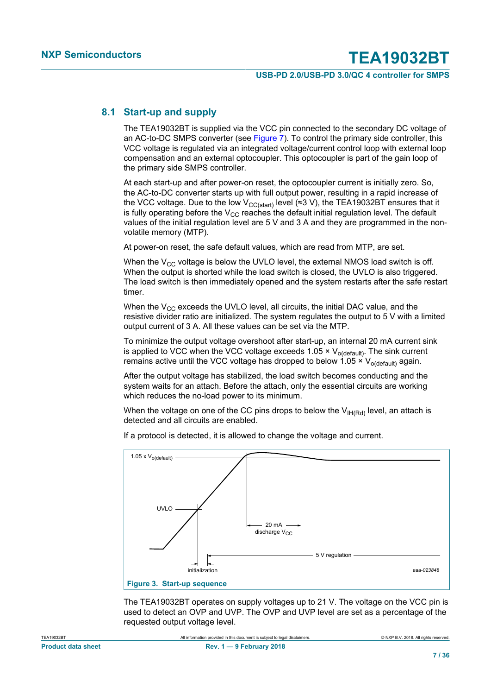#### **USB-PD 2.0/USB-PD 3.0/QC 4 controller for SMPS**

### **8.1 Start-up and supply**

<span id="page-6-0"></span>The TEA19032BT is supplied via the VCC pin connected to the secondary DC voltage of an AC-to-DC SMPS converter (see [Figure 7](#page-25-0)). To control the primary side controller, this VCC voltage is regulated via an integrated voltage/current control loop with external loop compensation and an external optocoupler. This optocoupler is part of the gain loop of the primary side SMPS controller.

At each start-up and after power-on reset, the optocoupler current is initially zero. So, the AC-to-DC converter starts up with full output power, resulting in a rapid increase of the VCC voltage. Due to the low V<sub>CC(start)</sub> level (≈3 V), the TEA19032BT ensures that it is fully operating before the  $V_{CC}$  reaches the default initial regulation level. The default values of the initial regulation level are 5 V and 3 A and they are programmed in the nonvolatile memory (MTP).

At power-on reset, the safe default values, which are read from MTP, are set.

When the  $V_{CC}$  voltage is below the UVLO level, the external NMOS load switch is off. When the output is shorted while the load switch is closed, the UVLO is also triggered. The load switch is then immediately opened and the system restarts after the safe restart timer.

When the  $V_{CC}$  exceeds the UVLO level, all circuits, the initial DAC value, and the resistive divider ratio are initialized. The system regulates the output to 5 V with a limited output current of 3 A. All these values can be set via the MTP.

To minimize the output voltage overshoot after start-up, an internal 20 mA current sink is applied to VCC when the VCC voltage exceeds 1.05  $\times$  V<sub>o(default)</sub>. The sink current remains active until the VCC voltage has dropped to below 1.05  $\times$  V<sub>o(default)</sub> again.

After the output voltage has stabilized, the load switch becomes conducting and the system waits for an attach. Before the attach, only the essential circuits are working which reduces the no-load power to its minimum.

When the voltage on one of the CC pins drops to below the  $V_{\text{IHRd}}$  level, an attach is detected and all circuits are enabled.

If a protocol is detected, it is allowed to change the voltage and current.



The TEA19032BT operates on supply voltages up to 21 V. The voltage on the VCC pin is used to detect an OVP and UVP. The OVP and UVP level are set as a percentage of the requested output voltage level.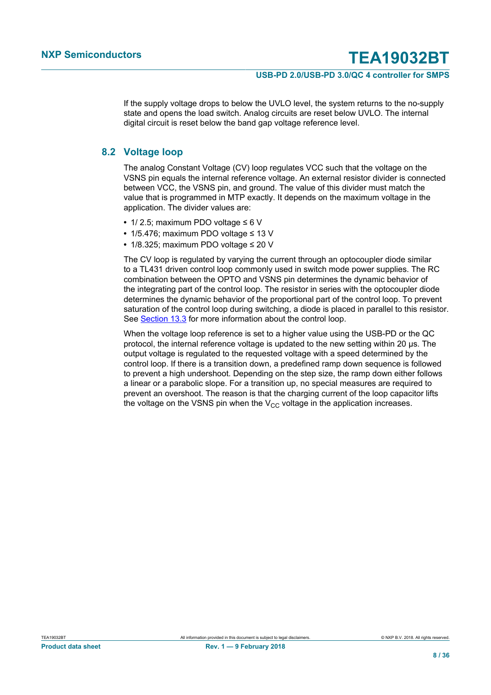#### **USB-PD 2.0/USB-PD 3.0/QC 4 controller for SMPS**

If the supply voltage drops to below the UVLO level, the system returns to the no-supply state and opens the load switch. Analog circuits are reset below UVLO. The internal digital circuit is reset below the band gap voltage reference level.

#### **8.2 Voltage loop**

<span id="page-7-0"></span>The analog Constant Voltage (CV) loop regulates VCC such that the voltage on the VSNS pin equals the internal reference voltage. An external resistor divider is connected between VCC, the VSNS pin, and ground. The value of this divider must match the value that is programmed in MTP exactly. It depends on the maximum voltage in the application. The divider values are:

- **•** 1/ 2.5; maximum PDO voltage ≤ 6 V
- **•** 1/5.476; maximum PDO voltage ≤ 13 V
- **•** 1/8.325; maximum PDO voltage ≤ 20 V

The CV loop is regulated by varying the current through an optocoupler diode similar to a TL431 driven control loop commonly used in switch mode power supplies. The RC combination between the OPTO and VSNS pin determines the dynamic behavior of the integrating part of the control loop. The resistor in series with the optocoupler diode determines the dynamic behavior of the proportional part of the control loop. To prevent saturation of the control loop during switching, a diode is placed in parallel to this resistor. See [Section 13.3](#page-26-0) for more information about the control loop.

When the voltage loop reference is set to a higher value using the USB-PD or the QC protocol, the internal reference voltage is updated to the new setting within 20 μs. The output voltage is regulated to the requested voltage with a speed determined by the control loop. If there is a transition down, a predefined ramp down sequence is followed to prevent a high undershoot. Depending on the step size, the ramp down either follows a linear or a parabolic slope. For a transition up, no special measures are required to prevent an overshoot. The reason is that the charging current of the loop capacitor lifts the voltage on the VSNS pin when the  $V_{CC}$  voltage in the application increases.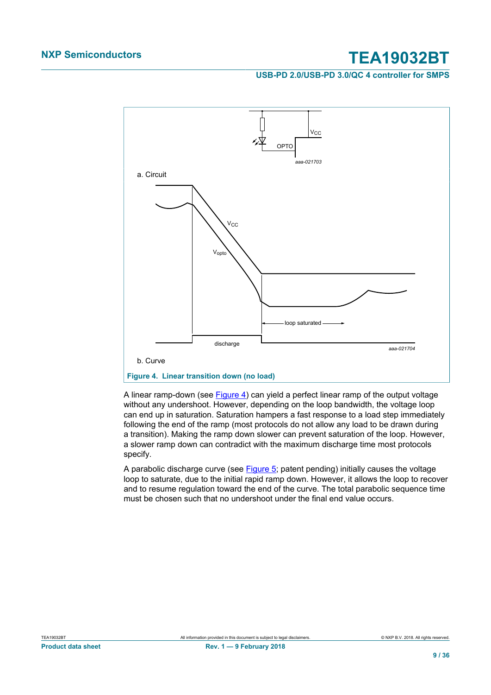#### **USB-PD 2.0/USB-PD 3.0/QC 4 controller for SMPS**



<span id="page-8-0"></span>A linear ramp-down (see **[Figure 4](#page-8-0))** can yield a perfect linear ramp of the output voltage without any undershoot. However, depending on the loop bandwidth, the voltage loop can end up in saturation. Saturation hampers a fast response to a load step immediately following the end of the ramp (most protocols do not allow any load to be drawn during a transition). Making the ramp down slower can prevent saturation of the loop. However, a slower ramp down can contradict with the maximum discharge time most protocols specify.

A parabolic discharge curve (see [Figure 5;](#page-9-0) patent pending) initially causes the voltage loop to saturate, due to the initial rapid ramp down. However, it allows the loop to recover and to resume regulation toward the end of the curve. The total parabolic sequence time must be chosen such that no undershoot under the final end value occurs.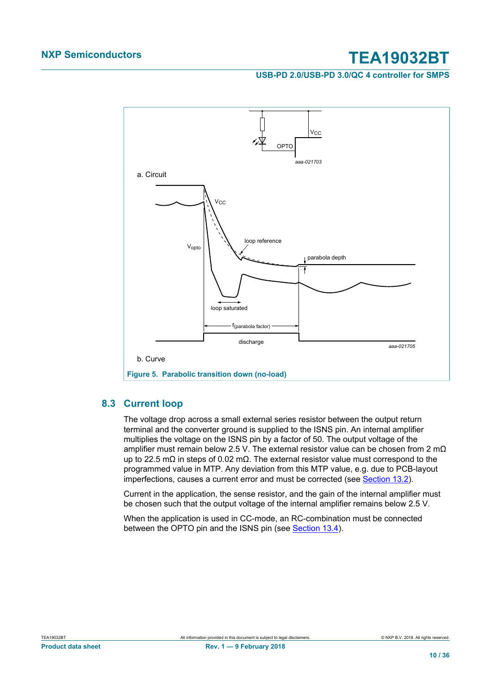#### **USB-PD 2.0/USB-PD 3.0/QC 4 controller for SMPS**



### <span id="page-9-0"></span>**8.3 Current loop**

<span id="page-9-1"></span>The voltage drop across a small external series resistor between the output return terminal and the converter ground is supplied to the ISNS pin. An internal amplifier multiplies the voltage on the ISNS pin by a factor of 50. The output voltage of the amplifier must remain below 2.5 V. The external resistor value can be chosen from 2 m $\Omega$ up to 22.5 mΩ in steps of 0.02 mΩ. The external resistor value must correspond to the programmed value in MTP. Any deviation from this MTP value, e.g. due to PCB-layout imperfections, causes a current error and must be corrected (see [Section 13.2\)](#page-26-1).

Current in the application, the sense resistor, and the gain of the internal amplifier must be chosen such that the output voltage of the internal amplifier remains below 2.5 V.

When the application is used in CC-mode, an RC-combination must be connected between the OPTO pin and the ISNS pin (see [Section 13.4](#page-26-2)).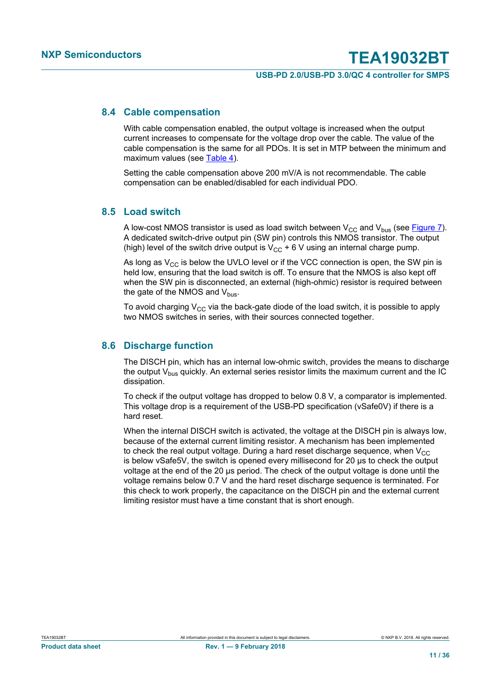#### **USB-PD 2.0/USB-PD 3.0/QC 4 controller for SMPS**

#### **8.4 Cable compensation**

<span id="page-10-0"></span>With cable compensation enabled, the output voltage is increased when the output current increases to compensate for the voltage drop over the cable. The value of the cable compensation is the same for all PDOs. It is set in MTP between the minimum and maximum values (see [Table 4](#page-15-0)).

Setting the cable compensation above 200 mV/A is not recommendable. The cable compensation can be enabled/disabled for each individual PDO.

#### **8.5 Load switch**

<span id="page-10-1"></span>A low-cost NMOS transistor is used as load switch between  $V_{CC}$  and  $V_{bus}$  (see [Figure 7](#page-25-0)). A dedicated switch-drive output pin (SW pin) controls this NMOS transistor. The output (high) level of the switch drive output is  $V_{CC}$  + 6 V using an internal charge pump.

As long as  $V_{CC}$  is below the UVLO level or if the VCC connection is open, the SW pin is held low, ensuring that the load switch is off. To ensure that the NMOS is also kept off when the SW pin is disconnected, an external (high-ohmic) resistor is required between the gate of the NMOS and  $V_{\text{bus}}$ .

To avoid charging  $V_{CC}$  via the back-gate diode of the load switch, it is possible to apply two NMOS switches in series, with their sources connected together.

### **8.6 Discharge function**

<span id="page-10-2"></span>The DISCH pin, which has an internal low-ohmic switch, provides the means to discharge the output  $V_{\text{bus}}$  quickly. An external series resistor limits the maximum current and the IC dissipation.

To check if the output voltage has dropped to below 0.8 V, a comparator is implemented. This voltage drop is a requirement of the USB-PD specification (vSafe0V) if there is a hard reset.

When the internal DISCH switch is activated, the voltage at the DISCH pin is always low, because of the external current limiting resistor. A mechanism has been implemented to check the real output voltage. During a hard reset discharge sequence, when  $V_{CC}$ is below vSafe5V, the switch is opened every millisecond for 20 μs to check the output voltage at the end of the 20 μs period. The check of the output voltage is done until the voltage remains below 0.7 V and the hard reset discharge sequence is terminated. For this check to work properly, the capacitance on the DISCH pin and the external current limiting resistor must have a time constant that is short enough.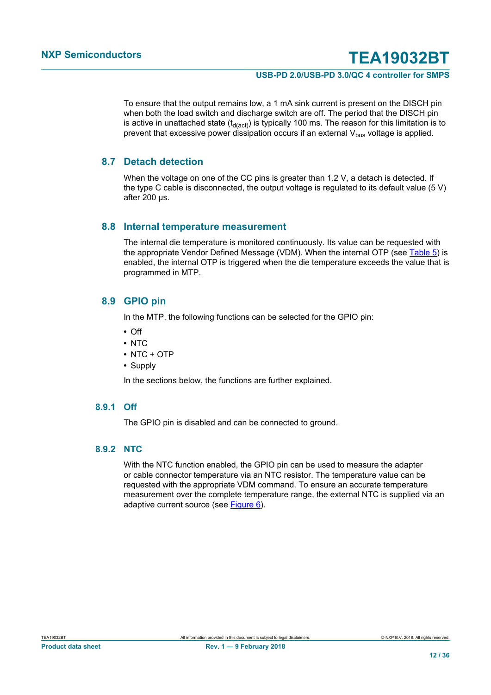#### **USB-PD 2.0/USB-PD 3.0/QC 4 controller for SMPS**

To ensure that the output remains low, a 1 mA sink current is present on the DISCH pin when both the load switch and discharge switch are off. The period that the DISCH pin is active in unattached state  $(t_{d(\text{act})})$  is typically 100 ms. The reason for this limitation is to prevent that excessive power dissipation occurs if an external  $V_{\text{bus}}$  voltage is applied.

#### **8.7 Detach detection**

<span id="page-11-0"></span>When the voltage on one of the CC pins is greater than 1.2 V, a detach is detected. If the type C cable is disconnected, the output voltage is regulated to its default value (5 V) after 200 µs.

#### **8.8 Internal temperature measurement**

<span id="page-11-1"></span>The internal die temperature is monitored continuously. Its value can be requested with the appropriate Vendor Defined Message (VDM). When the internal OTP (see [Table 5\)](#page-16-0) is enabled, the internal OTP is triggered when the die temperature exceeds the value that is programmed in MTP.

#### **8.9 GPIO pin**

<span id="page-11-2"></span>In the MTP, the following functions can be selected for the GPIO pin:

- **•** Off
- **•** NTC
- **•** NTC + OTP
- **•** Supply

In the sections below, the functions are further explained.

#### **8.9.1 Off**

<span id="page-11-3"></span>The GPIO pin is disabled and can be connected to ground.

### **8.9.2 NTC**

<span id="page-11-4"></span>With the NTC function enabled, the GPIO pin can be used to measure the adapter or cable connector temperature via an NTC resistor. The temperature value can be requested with the appropriate VDM command. To ensure an accurate temperature measurement over the complete temperature range, the external NTC is supplied via an adaptive current source (see [Figure 6](#page-12-0)).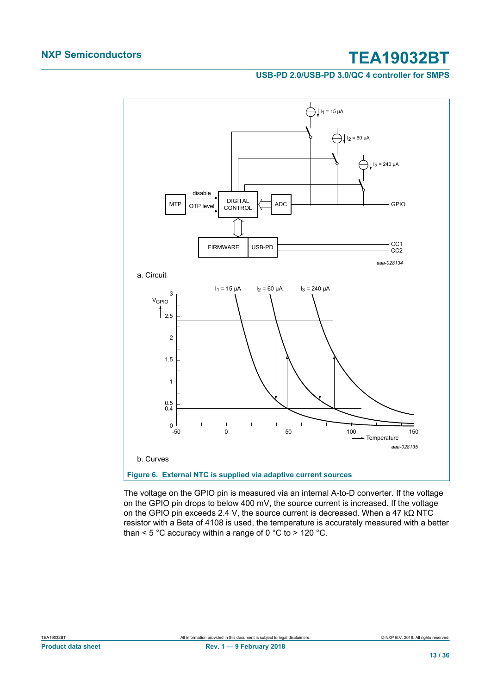**USB-PD 2.0/USB-PD 3.0/QC 4 controller for SMPS**



<span id="page-12-0"></span>The voltage on the GPIO pin is measured via an internal A-to-D converter. If the voltage on the GPIO pin drops to below 400 mV, the source current is increased. If the voltage on the GPIO pin exceeds 2.4 V, the source current is decreased. When a 47 kΩ NTC resistor with a Beta of 4108 is used, the temperature is accurately measured with a better than  $<$  5 °C accuracy within a range of 0 °C to > 120 °C.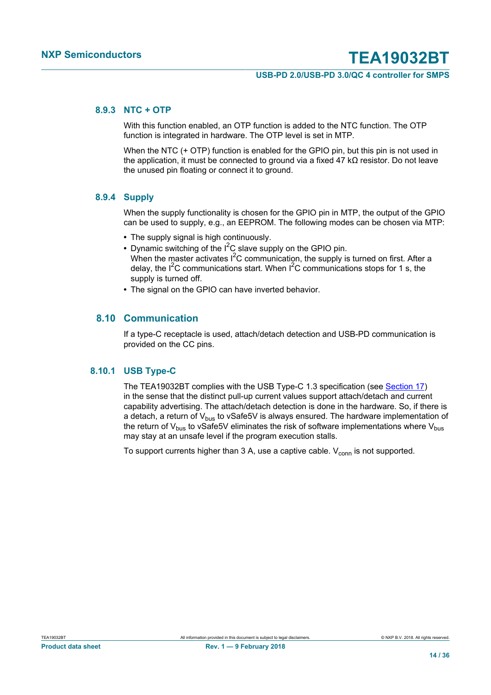#### **USB-PD 2.0/USB-PD 3.0/QC 4 controller for SMPS**

#### **8.9.3 NTC + OTP**

<span id="page-13-0"></span>With this function enabled, an OTP function is added to the NTC function. The OTP function is integrated in hardware. The OTP level is set in MTP.

When the NTC (+ OTP) function is enabled for the GPIO pin, but this pin is not used in the application, it must be connected to ground via a fixed 47 kΩ resistor. Do not leave the unused pin floating or connect it to ground.

#### **8.9.4 Supply**

<span id="page-13-1"></span>When the supply functionality is chosen for the GPIO pin in MTP, the output of the GPIO can be used to supply, e.g., an EEPROM. The following modes can be chosen via MTP:

- **•** The supply signal is high continuously.
- Dynamic switching of the I<sup>2</sup>C slave supply on the GPIO pin. When the master activates  $I^2C$  communication, the supply is turned on first. After a delay, the  $I^2C$  communications start. When  $I^2C$  communications stops for 1 s, the supply is turned off.
- **•** The signal on the GPIO can have inverted behavior.

#### **8.10 Communication**

<span id="page-13-2"></span>If a type-C receptacle is used, attach/detach detection and USB-PD communication is provided on the CC pins.

#### **8.10.1 USB Type-C**

<span id="page-13-3"></span>The TEA19032BT complies with the USB Type-C 1.3 specification (see [Section 17\)](#page-31-0) in the sense that the distinct pull-up current values support attach/detach and current capability advertising. The attach/detach detection is done in the hardware. So, if there is a detach, a return of  $V_{\text{bus}}$  to vSafe5V is always ensured. The hardware implementation of the return of  $V_{\text{bus}}$  to vSafe5V eliminates the risk of software implementations where  $V_{\text{bus}}$ may stay at an unsafe level if the program execution stalls.

To support currents higher than 3 A, use a captive cable.  $V_{conn}$  is not supported.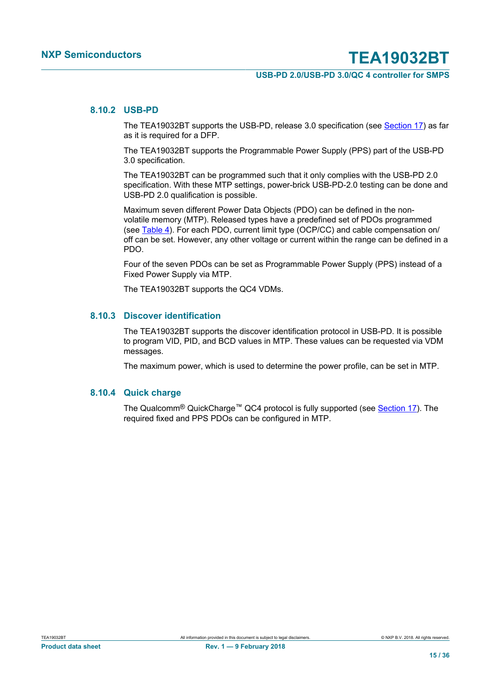#### **USB-PD 2.0/USB-PD 3.0/QC 4 controller for SMPS**

#### **8.10.2 USB-PD**

<span id="page-14-0"></span>The TEA19032BT supports the USB-PD, release 3.0 specification (see [Section 17](#page-31-0)) as far as it is required for a DFP.

The TEA19032BT supports the Programmable Power Supply (PPS) part of the USB-PD 3.0 specification.

The TEA19032BT can be programmed such that it only complies with the USB-PD 2.0 specification. With these MTP settings, power-brick USB-PD-2.0 testing can be done and USB-PD 2.0 qualification is possible.

Maximum seven different Power Data Objects (PDO) can be defined in the nonvolatile memory (MTP). Released types have a predefined set of PDOs programmed (see [Table 4\)](#page-15-0). For each PDO, current limit type (OCP/CC) and cable compensation on/ off can be set. However, any other voltage or current within the range can be defined in a PDO.

Four of the seven PDOs can be set as Programmable Power Supply (PPS) instead of a Fixed Power Supply via MTP.

The TEA19032BT supports the QC4 VDMs.

#### **8.10.3 Discover identification**

<span id="page-14-1"></span>The TEA19032BT supports the discover identification protocol in USB-PD. It is possible to program VID, PID, and BCD values in MTP. These values can be requested via VDM messages.

The maximum power, which is used to determine the power profile, can be set in MTP.

#### **8.10.4 Quick charge**

<span id="page-14-2"></span>The Qualcomm<sup>®</sup> QuickCharge<sup>™</sup> QC4 protocol is fully supported (see **Section 17**). The required fixed and PPS PDOs can be configured in MTP.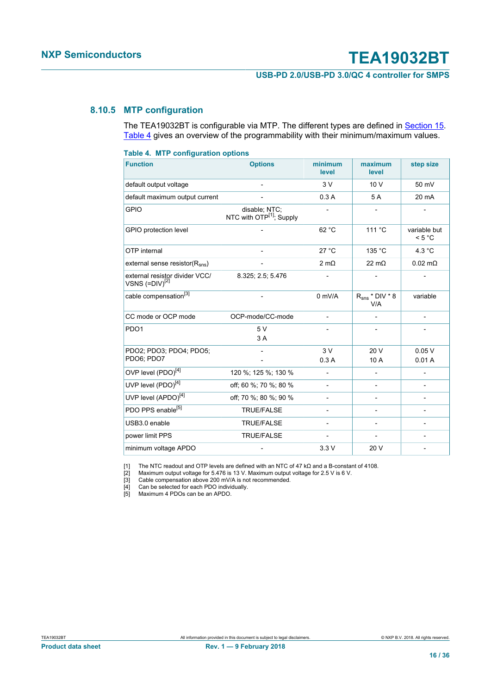#### **USB-PD 2.0/USB-PD 3.0/QC 4 controller for SMPS**

#### **8.10.5 MTP configuration**

<span id="page-15-6"></span><span id="page-15-5"></span><span id="page-15-4"></span><span id="page-15-3"></span><span id="page-15-2"></span><span id="page-15-1"></span>The TEA19032BT is configurable via MTP. The different types are defined in **[Section 15](#page-28-0).** [Table 4](#page-15-0) gives an overview of the programmability with their minimum/maximum values.

<span id="page-15-0"></span>

| <b>Table 4. MTP configuration options</b>             |                                                       |                              |                                |                          |  |  |  |  |
|-------------------------------------------------------|-------------------------------------------------------|------------------------------|--------------------------------|--------------------------|--|--|--|--|
| <b>Function</b>                                       | <b>Options</b>                                        | minimum<br>level             | maximum<br>level               | step size                |  |  |  |  |
| default output voltage                                |                                                       | 3V                           | 10 V                           | 50 mV                    |  |  |  |  |
| default maximum output current                        |                                                       | 0.3A                         | 5 A                            | 20 mA                    |  |  |  |  |
| <b>GPIO</b>                                           | disable; NTC;<br>NTC with OTP <sup>[1]</sup> ; Supply |                              |                                |                          |  |  |  |  |
| GPIO protection level                                 |                                                       | 62 °C                        | 111 °C                         | variable but<br>< 5 °C   |  |  |  |  |
| OTP internal                                          |                                                       | 27 °C                        | 135 °C                         | 4.3 °C                   |  |  |  |  |
| external sense resistor( $R_{\rm sns}$ )              |                                                       | $2 \text{ mA}$               | $22 \text{ mA}$                | $0.02 \text{ m}\Omega$   |  |  |  |  |
| external resistor divider VCC/<br>VSNS $(=DIV)^{[2]}$ | 8.325; 2.5; 5.476                                     |                              |                                |                          |  |  |  |  |
| cable compensation <sup>[3]</sup>                     |                                                       | $0$ mV/A                     | $R_{\rm SNS}$ * DIV * 8<br>V/A | variable                 |  |  |  |  |
| CC mode or OCP mode                                   | OCP-mode/CC-mode                                      | $\overline{\phantom{a}}$     | $\overline{\phantom{0}}$       | $\overline{\phantom{0}}$ |  |  |  |  |
| PDO <sub>1</sub>                                      | 5V<br>3A                                              |                              |                                |                          |  |  |  |  |
| PDO2; PDO3; PDO4; PDO5;                               |                                                       | 3V                           | 20 V                           | 0.05V                    |  |  |  |  |
| PDO6; PDO7                                            |                                                       | 0.3A                         | 10 A                           | 0.01A                    |  |  |  |  |
| OVP level (PDO) <sup>[4]</sup>                        | 120 %; 125 %; 130 %                                   | $\overline{a}$               |                                |                          |  |  |  |  |
| UVP level (PDO) <sup>[4]</sup>                        | off: 60 %; 70 %; 80 %                                 | $\qquad \qquad \blacksquare$ |                                | $\overline{\phantom{0}}$ |  |  |  |  |
| UVP level (APDO) <sup>[4]</sup>                       | off: 70 %: 80 %: 90 %                                 |                              |                                |                          |  |  |  |  |
| PDO PPS enable <sup>[5]</sup>                         | <b>TRUE/FALSE</b>                                     |                              |                                |                          |  |  |  |  |
| USB3.0 enable                                         | <b>TRUE/FALSE</b>                                     |                              |                                |                          |  |  |  |  |
| power limit PPS                                       | <b>TRUE/FALSE</b>                                     | $\qquad \qquad -$            |                                | $\overline{\phantom{0}}$ |  |  |  |  |
| minimum voltage APDO                                  |                                                       | 3.3V                         | 20 V                           |                          |  |  |  |  |

[1] The NTC readout and OTP levels are defined with an NTC of 47 kΩ and a B-constant of 4108.

[2] Maximum output voltage for 5.476 is 13 V. Maximum output voltage for 2.5 V is 6 V.

[3] Cable compensation above 200 mV/A is not recommended.

[4] Can be selected for each PDO individually.

[5] Maximum 4 PDOs can be an APDO.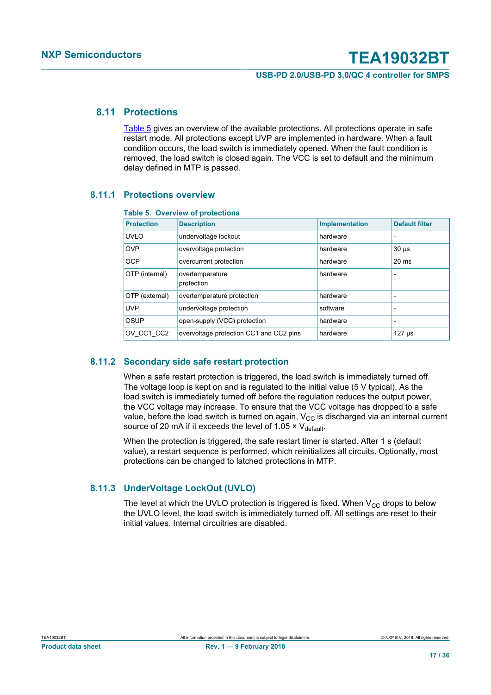**USB-PD 2.0/USB-PD 3.0/QC 4 controller for SMPS**

#### **8.11 Protections**

<span id="page-16-1"></span>[Table 5](#page-16-0) gives an overview of the available protections. All protections operate in safe restart mode. All protections except UVP are implemented in hardware. When a fault condition occurs, the load switch is immediately opened. When the fault condition is removed, the load switch is closed again. The VCC is set to default and the minimum delay defined in MTP is passed.

#### **8.11.1 Protections overview**

#### <span id="page-16-2"></span><span id="page-16-0"></span>**Table 5. Overview of protections**

| <b>Protection</b> | <b>Description</b>                      | <b>Implementation</b> | <b>Default filter</b>    |
|-------------------|-----------------------------------------|-----------------------|--------------------------|
| <b>UVLO</b>       | undervoltage lockout                    | hardware              |                          |
| <b>OVP</b>        | overvoltage protection                  | hardware              | $30 \mu s$               |
| <b>OCP</b>        | overcurrent protection                  | hardware              | $20 \text{ ms}$          |
| OTP (internal)    | overtemperature<br>protection           | hardware              | -                        |
| OTP (external)    | overtemperature protection              | hardware              | $\overline{\phantom{0}}$ |
| <b>UVP</b>        | undervoltage protection                 | software              |                          |
| OSUP              | open-supply (VCC) protection            | hardware              | $\overline{\phantom{0}}$ |
| OV CC1 CC2        | overvoltage protection CC1 and CC2 pins | hardware              | $127$ $\mu$ s            |

#### **8.11.2 Secondary side safe restart protection**

<span id="page-16-3"></span>When a safe restart protection is triggered, the load switch is immediately turned off. The voltage loop is kept on and is regulated to the initial value (5 V typical). As the load switch is immediately turned off before the regulation reduces the output power, the VCC voltage may increase. To ensure that the VCC voltage has dropped to a safe value, before the load switch is turned on again,  $V_{CC}$  is discharged via an internal current source of 20 mA if it exceeds the level of 1.05  $\times$  V<sub>default</sub>.

When the protection is triggered, the safe restart timer is started. After 1 s (default value), a restart sequence is performed, which reinitializes all circuits. Optionally, most protections can be changed to latched protections in MTP.

#### **8.11.3 UnderVoltage LockOut (UVLO)**

<span id="page-16-4"></span>The level at which the UVLO protection is triggered is fixed. When  $V_{CC}$  drops to below the UVLO level, the load switch is immediately turned off. All settings are reset to their initial values. Internal circuitries are disabled.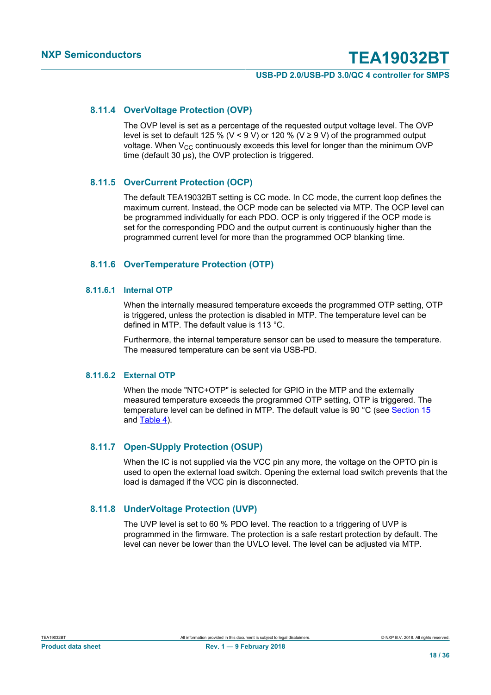#### **USB-PD 2.0/USB-PD 3.0/QC 4 controller for SMPS**

#### **8.11.4 OverVoltage Protection (OVP)**

<span id="page-17-0"></span>The OVP level is set as a percentage of the requested output voltage level. The OVP level is set to default 125 % (V < 9 V) or 120 % (V ≥ 9 V) of the programmed output voltage. When  $V_{CC}$  continuously exceeds this level for longer than the minimum OVP time (default 30 μs), the OVP protection is triggered.

#### **8.11.5 OverCurrent Protection (OCP)**

<span id="page-17-1"></span>The default TEA19032BT setting is CC mode. In CC mode, the current loop defines the maximum current. Instead, the OCP mode can be selected via MTP. The OCP level can be programmed individually for each PDO. OCP is only triggered if the OCP mode is set for the corresponding PDO and the output current is continuously higher than the programmed current level for more than the programmed OCP blanking time.

#### <span id="page-17-2"></span>**8.11.6 OverTemperature Protection (OTP)**

#### **8.11.6.1 Internal OTP**

<span id="page-17-3"></span>When the internally measured temperature exceeds the programmed OTP setting, OTP is triggered, unless the protection is disabled in MTP. The temperature level can be defined in MTP. The default value is 113 °C.

Furthermore, the internal temperature sensor can be used to measure the temperature. The measured temperature can be sent via USB-PD.

#### **8.11.6.2 External OTP**

<span id="page-17-4"></span>When the mode "NTC+OTP" is selected for GPIO in the MTP and the externally measured temperature exceeds the programmed OTP setting, OTP is triggered. The temperature level can be defined in MTP. The default value is 90 °C (see [Section 15](#page-28-0) and [Table 4\)](#page-15-0).

#### **8.11.7 Open-SUpply Protection (OSUP)**

<span id="page-17-5"></span>When the IC is not supplied via the VCC pin any more, the voltage on the OPTO pin is used to open the external load switch. Opening the external load switch prevents that the load is damaged if the VCC pin is disconnected.

#### **8.11.8 UnderVoltage Protection (UVP)**

<span id="page-17-6"></span>The UVP level is set to 60 % PDO level. The reaction to a triggering of UVP is programmed in the firmware. The protection is a safe restart protection by default. The level can never be lower than the UVLO level. The level can be adjusted via MTP.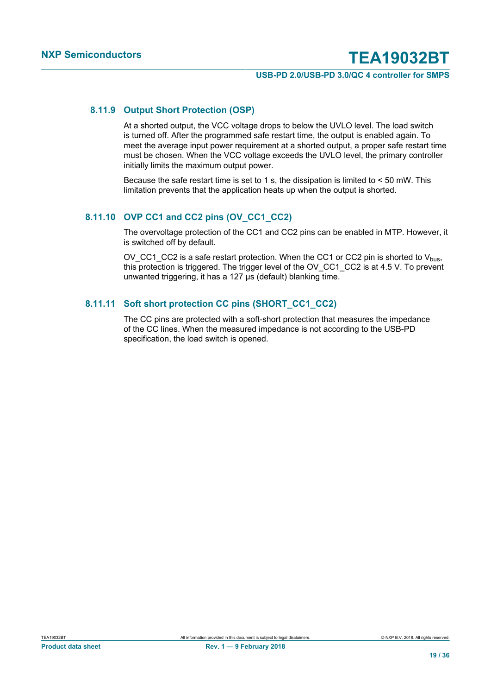#### **USB-PD 2.0/USB-PD 3.0/QC 4 controller for SMPS**

#### **8.11.9 Output Short Protection (OSP)**

<span id="page-18-0"></span>At a shorted output, the VCC voltage drops to below the UVLO level. The load switch is turned off. After the programmed safe restart time, the output is enabled again. To meet the average input power requirement at a shorted output, a proper safe restart time must be chosen. When the VCC voltage exceeds the UVLO level, the primary controller initially limits the maximum output power.

Because the safe restart time is set to 1 s, the dissipation is limited to < 50 mW. This limitation prevents that the application heats up when the output is shorted.

#### **8.11.10 OVP CC1 and CC2 pins (OV\_CC1\_CC2)**

<span id="page-18-1"></span>The overvoltage protection of the CC1 and CC2 pins can be enabled in MTP. However, it is switched off by default.

OV CC1 CC2 is a safe restart protection. When the CC1 or CC2 pin is shorted to  $V_{bus}$ , this protection is triggered. The trigger level of the OV\_CC1\_CC2 is at 4.5 V. To prevent unwanted triggering, it has a 127 µs (default) blanking time.

#### **8.11.11 Soft short protection CC pins (SHORT\_CC1\_CC2)**

<span id="page-18-2"></span>The CC pins are protected with a soft-short protection that measures the impedance of the CC lines. When the measured impedance is not according to the USB-PD specification, the load switch is opened.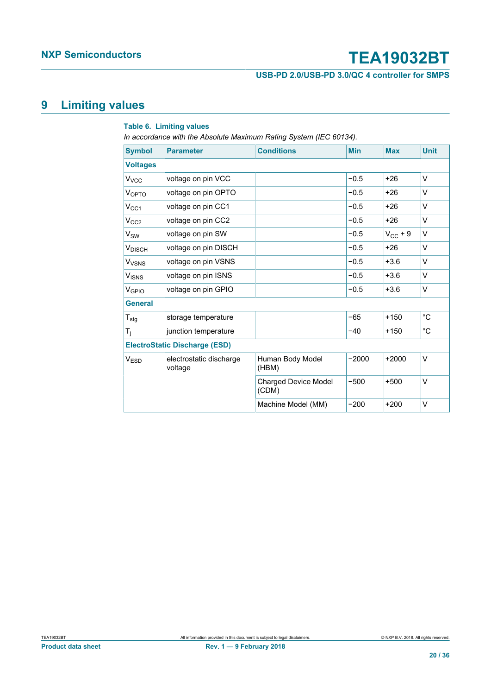**USB-PD 2.0/USB-PD 3.0/QC 4 controller for SMPS**

### <span id="page-19-0"></span>**9 Limiting values**

#### **Table 6. Limiting values**

*In accordance with the Absolute Maximum Rating System (IEC 60134).*

| <b>Symbol</b>           | <b>Parameter</b>                     | <b>Conditions</b>                    | <b>Min</b> | <b>Max</b>   | <b>Unit</b>  |
|-------------------------|--------------------------------------|--------------------------------------|------------|--------------|--------------|
| <b>Voltages</b>         |                                      |                                      |            |              |              |
| <b>V</b> <sub>vcc</sub> | voltage on pin VCC                   |                                      | $-0.5$     | $+26$        | $\vee$       |
| <b>VOPTO</b>            | voltage on pin OPTO                  |                                      | $-0.5$     | $+26$        | $\vee$       |
| $V_{CC1}$               | voltage on pin CC1                   |                                      | $-0.5$     | $+26$        | V            |
| V <sub>CC2</sub>        | voltage on pin CC2                   |                                      | $-0.5$     | $+26$        | V            |
| $V_{SW}$                | voltage on pin SW                    |                                      | $-0.5$     | $V_{CC}$ + 9 | $\vee$       |
| $V_{DISCH}$             | voltage on pin DISCH                 |                                      | $-0.5$     | $+26$        | V            |
| <b>V<sub>VSNS</sub></b> | voltage on pin VSNS                  |                                      | $-0.5$     | $+3.6$       | $\vee$       |
| $V_{ISNS}$              | voltage on pin ISNS                  |                                      | $-0.5$     | $+3.6$       | $\vee$       |
| V <sub>GPIO</sub>       | voltage on pin GPIO                  |                                      | $-0.5$     | $+3.6$       | V            |
| <b>General</b>          |                                      |                                      |            |              |              |
| $T_{\text{stg}}$        | storage temperature                  |                                      | $-65$      | $+150$       | $^{\circ}C$  |
| $T_i$                   | junction temperature                 |                                      | $-40$      | $+150$       | $^{\circ}$ C |
|                         | <b>ElectroStatic Discharge (ESD)</b> |                                      |            |              |              |
| V <sub>ESD</sub>        | electrostatic discharge<br>voltage   | Human Body Model<br>(HBM)            | $-2000$    | $+2000$      | $\vee$       |
|                         |                                      | <b>Charged Device Model</b><br>(CDM) | $-500$     | $+500$       | $\vee$       |
|                         |                                      | Machine Model (MM)                   | $-200$     | $+200$       | V            |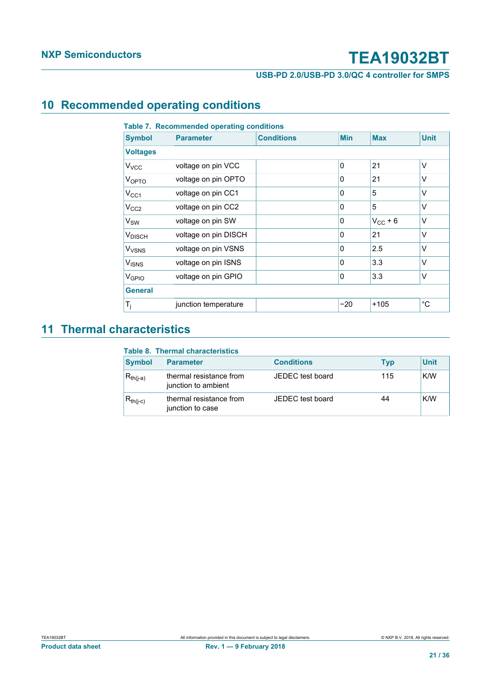**USB-PD 2.0/USB-PD 3.0/QC 4 controller for SMPS**

### <span id="page-20-0"></span>**10 Recommended operating conditions**

| <b>Symbol</b>           | <b>Parameter</b>     | <b>Conditions</b> | <b>Min</b>   | <b>Max</b>   | <b>Unit</b>  |
|-------------------------|----------------------|-------------------|--------------|--------------|--------------|
| <b>Voltages</b>         |                      |                   |              |              |              |
| <b>V</b> <sub>vcc</sub> | voltage on pin VCC   |                   | $\mathbf{0}$ | 21           | $\vee$       |
| VOPTO                   | voltage on pin OPTO  |                   | $\mathbf{0}$ | 21           | $\vee$       |
| $V_{CC1}$               | voltage on pin CC1   |                   | $\mathbf{0}$ | 5            | $\vee$       |
| V <sub>CC2</sub>        | voltage on pin CC2   |                   | $\mathbf{0}$ | 5            | $\vee$       |
| $V_{SW}$                | voltage on pin SW    |                   | 0            | $V_{CC}$ + 6 | V            |
| <b>V</b> DISCH          | voltage on pin DISCH |                   | $\mathbf{0}$ | 21           | $\vee$       |
| <b>V<sub>VSNS</sub></b> | voltage on pin VSNS  |                   | $\mathbf{0}$ | 2.5          | $\vee$       |
| <b>V<sub>ISNS</sub></b> | voltage on pin ISNS  |                   | $\mathbf{0}$ | 3.3          | $\vee$       |
| V <sub>GPIO</sub>       | voltage on pin GPIO  |                   | $\mathbf{0}$ | 3.3          | $\vee$       |
| <b>General</b>          |                      |                   |              |              |              |
| $T_j$                   | junction temperature |                   | $-20$        | $+105$       | $^{\circ}$ C |

### <span id="page-20-1"></span>**11 Thermal characteristics**

#### **Table 8. Thermal characteristics**

| <b>Symbol</b> | <b>Parameter</b>                               | <b>Conditions</b> | <b>Typ</b> | <b>Unit</b> |
|---------------|------------------------------------------------|-------------------|------------|-------------|
| $R_{th(i-a)}$ | thermal resistance from<br>junction to ambient | JEDEC test board  | 115        | K/W         |
| $R_{th(i-c)}$ | thermal resistance from<br>junction to case    | JEDEC test board  | 44         | K/W         |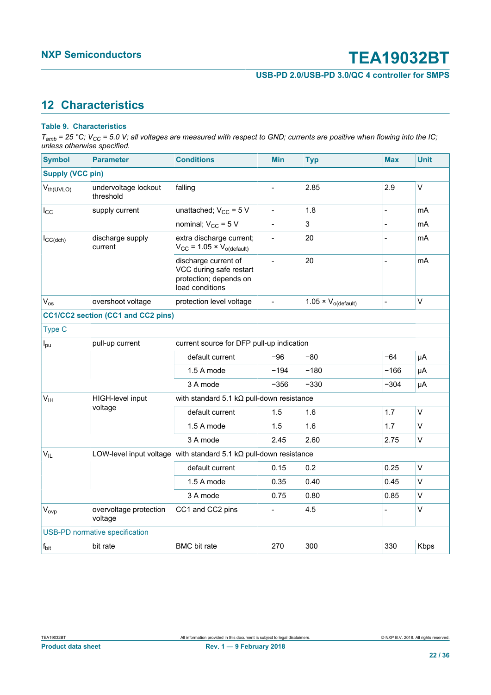**USB-PD 2.0/USB-PD 3.0/QC 4 controller for SMPS**

### <span id="page-21-0"></span>**12 Characteristics**

#### **Table 9. Characteristics**

*Tamb = 25 °C; VCC = 5.0 V; all voltages are measured with respect to GND; currents are positive when flowing into the IC; unless otherwise specified.*

| <b>Symbol</b>           | <b>Parameter</b>                      | <b>Conditions</b>                                                                            |  | <b>Min</b>     | <b>Typ</b>                    | <b>Max</b> | <b>Unit</b> |  |
|-------------------------|---------------------------------------|----------------------------------------------------------------------------------------------|--|----------------|-------------------------------|------------|-------------|--|
| <b>Supply (VCC pin)</b> |                                       |                                                                                              |  |                |                               |            |             |  |
| $V_{th(UVLO)}$          | undervoltage lockout<br>threshold     | falling                                                                                      |  | $\overline{a}$ | 2.85                          | 2.9        | V           |  |
| $I_{\rm CC}$            | supply current                        | unattached; $V_{CC}$ = 5 V                                                                   |  | $\overline{a}$ | 1.8                           |            | mA          |  |
|                         |                                       | nominal; $V_{CC}$ = 5 V                                                                      |  | $\overline{a}$ | 3                             |            | mA          |  |
| $I_{CC(dch)}$           | discharge supply<br>current           | extra discharge current;<br>$V_{CC}$ = 1.05 × $V_{o(default)}$                               |  | $\overline{a}$ | 20                            |            | mA          |  |
|                         |                                       | discharge current of<br>VCC during safe restart<br>protection; depends on<br>load conditions |  | $\overline{a}$ | 20                            |            | mA          |  |
| $V_{os}$                | overshoot voltage                     | protection level voltage                                                                     |  |                | $1.05 \times V_{o (default)}$ |            | $\vee$      |  |
|                         | CC1/CC2 section (CC1 and CC2 pins)    |                                                                                              |  |                |                               |            |             |  |
| Type C                  |                                       |                                                                                              |  |                |                               |            |             |  |
| $I_{\text{pu}}$         | pull-up current                       | current source for DFP pull-up indication                                                    |  |                |                               |            |             |  |
|                         |                                       | default current                                                                              |  | $-96$          | $-80$                         | $-64$      | μA          |  |
|                         |                                       | 1.5 A mode                                                                                   |  | -194           | $-180$                        | -166       | μA          |  |
|                         |                                       | 3 A mode                                                                                     |  | -356           | -330                          | -304       | μA          |  |
| $V_{\text{IH}}$         | HIGH-level input                      | with standard 5.1 k $\Omega$ pull-down resistance                                            |  |                |                               |            |             |  |
|                         | voltage                               | default current                                                                              |  | 1.5            | 1.6                           | 1.7        | V           |  |
|                         |                                       | 1.5 A mode                                                                                   |  | 1.5            | 1.6                           | 1.7        | $\vee$      |  |
|                         |                                       | 3 A mode                                                                                     |  | 2.45           | 2.60                          | 2.75       | V           |  |
| <b>V<sub>IL</sub></b>   |                                       | LOW-level input voltage with standard 5.1 $k\Omega$ pull-down resistance                     |  |                |                               |            |             |  |
|                         |                                       | default current                                                                              |  | 0.15           | 0.2                           | 0.25       | V           |  |
|                         |                                       | 1.5 A mode                                                                                   |  | 0.35           | 0.40                          | 0.45       | V           |  |
|                         |                                       | 3 A mode                                                                                     |  | 0.75           | 0.80                          | 0.85       | V           |  |
| $V_{ovp}$               | overvoltage protection<br>voltage     | CC1 and CC2 pins                                                                             |  | $\overline{a}$ | 4.5                           |            | V           |  |
|                         | <b>USB-PD normative specification</b> |                                                                                              |  |                |                               |            |             |  |
| f <sub>bit</sub>        | bit rate                              | <b>BMC</b> bit rate                                                                          |  | 270            | 300                           | 330        | Kbps        |  |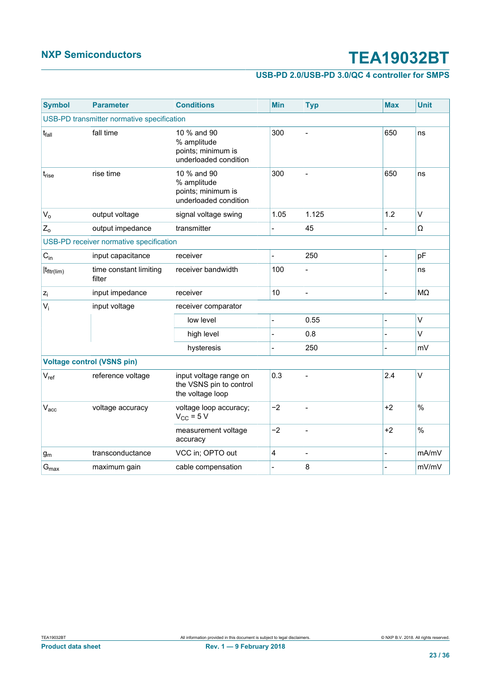### **USB-PD 2.0/USB-PD 3.0/QC 4 controller for SMPS**

| <b>Symbol</b>                              | <b>Parameter</b>                        | <b>Conditions</b>                                                         | <b>Min</b>     | <b>Typ</b>     | <b>Max</b>     | <b>Unit</b> |  |  |  |
|--------------------------------------------|-----------------------------------------|---------------------------------------------------------------------------|----------------|----------------|----------------|-------------|--|--|--|
| USB-PD transmitter normative specification |                                         |                                                                           |                |                |                |             |  |  |  |
| t <sub>fall</sub>                          | fall time                               | 10 % and 90<br>% amplitude<br>points; minimum is<br>underloaded condition | 300            |                | 650            | ns          |  |  |  |
| t <sub>rise</sub>                          | rise time                               | 10 % and 90<br>% amplitude<br>points; minimum is<br>underloaded condition | 300            |                | 650            | ns          |  |  |  |
| $V_{o}$                                    | output voltage                          | signal voltage swing                                                      | 1.05           | 1.125          | 1.2            | $\vee$      |  |  |  |
| $Z_0$                                      | output impedance                        | transmitter                                                               |                | 45             |                | Ω           |  |  |  |
|                                            | USB-PD receiver normative specification |                                                                           |                |                |                |             |  |  |  |
| $C_{in}$                                   | input capacitance                       | receiver                                                                  | $\overline{a}$ | 250            |                | pF          |  |  |  |
| $ t_{\text{fltr}(lim)} $                   | time constant limiting<br>filter        | receiver bandwidth                                                        | 100            |                |                | ns          |  |  |  |
| $z_i$                                      | input impedance                         | receiver                                                                  | 10             | $\overline{a}$ | $\overline{a}$ | MΩ          |  |  |  |
| $V_i$                                      | input voltage                           | receiver comparator                                                       |                |                |                |             |  |  |  |
|                                            |                                         | low level                                                                 | $\overline{a}$ | 0.55           |                | V           |  |  |  |
|                                            |                                         | high level                                                                |                | 0.8            |                | V           |  |  |  |
|                                            |                                         | hysteresis                                                                |                | 250            |                | mV          |  |  |  |
| <b>Voltage control (VSNS pin)</b>          |                                         |                                                                           |                |                |                |             |  |  |  |
| $V_{ref}$                                  | reference voltage                       | input voltage range on<br>the VSNS pin to control<br>the voltage loop     | 0.3            |                | 2.4            | V           |  |  |  |
| V <sub>acc</sub>                           | voltage accuracy                        | voltage loop accuracy;<br>$V_{CC}$ = 5 V                                  | $-2$           |                | $+2$           | $\%$        |  |  |  |
|                                            |                                         | measurement voltage<br>accuracy                                           | $-2$           |                | $+2$           | $\%$        |  |  |  |
| $g_m$                                      | transconductance                        | VCC in; OPTO out                                                          | 4              |                |                | mA/mV       |  |  |  |
| $G_{\text{max}}$                           | maximum gain                            | cable compensation                                                        | L,             | 8              |                | mV/mV       |  |  |  |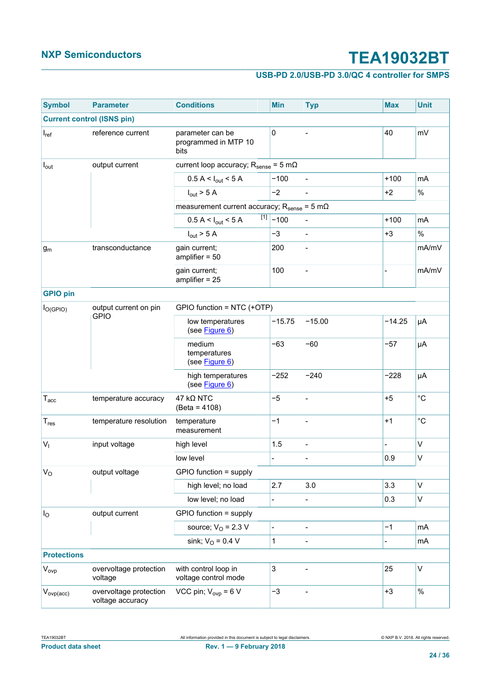### **USB-PD 2.0/USB-PD 3.0/QC 4 controller for SMPS**

| <b>Symbol</b>      | <b>Parameter</b>                           | <b>Conditions</b>                                                    |  | <b>Min</b>       | <b>Typ</b>     | <b>Max</b>     | <b>Unit</b>       |  |  |
|--------------------|--------------------------------------------|----------------------------------------------------------------------|--|------------------|----------------|----------------|-------------------|--|--|
|                    | <b>Current control (ISNS pin)</b>          |                                                                      |  |                  |                |                |                   |  |  |
| $I_{ref}$          | reference current                          | parameter can be<br>programmed in MTP 10<br>bits                     |  | $\pmb{0}$        |                | 40             | mV                |  |  |
| $I_{\text{out}}$   | output current                             | current loop accuracy; $R_{\text{sense}} = 5 \text{ m}\Omega$        |  |                  |                |                |                   |  |  |
|                    |                                            | $0.5 A < I_{out} < 5 A$                                              |  | $-100$           |                | $+100$         | mA                |  |  |
|                    |                                            | $I_{\text{out}}$ > 5 A                                               |  | $-2$             |                | $+2$           | $\%$              |  |  |
|                    |                                            | measurement current accuracy; $R_{\text{sense}} = 5 \text{ m}\Omega$ |  |                  |                |                |                   |  |  |
|                    |                                            | $0.5 A < I_{out} < 5 A$                                              |  | $\sqrt{11}$ -100 |                | $+100$         | mA                |  |  |
|                    |                                            | $I_{\text{out}}$ > 5 A                                               |  | $-3$             | $\overline{a}$ | $+3$           | $\%$              |  |  |
| $g_m$              | transconductance                           | gain current;<br>amplifier $= 50$                                    |  | 200              | $\overline{a}$ |                | mA/mV             |  |  |
|                    |                                            | gain current;<br>amplifier $= 25$                                    |  | 100              |                |                | mA/mV             |  |  |
| <b>GPIO pin</b>    |                                            |                                                                      |  |                  |                |                |                   |  |  |
| $I_{O(GPIO)}$      | output current on pin                      | GPIO function = NTC (+OTP)                                           |  |                  |                |                |                   |  |  |
|                    | <b>GPIO</b>                                | low temperatures<br>(see Figure 6)                                   |  | $-15.75$         | $-15.00$       | $-14.25$       | μA                |  |  |
|                    |                                            | medium<br>temperatures<br>(see Figure 6)                             |  | $-63$            | $-60$          | $-57$          | μA                |  |  |
|                    |                                            | high temperatures<br>(see Figure 6)                                  |  | $-252$           | $-240$         | $-228$         | μA                |  |  |
| $T_{\mathrm{acc}}$ | temperature accuracy                       | $47$ kQ NTC<br>$(Beta = 4108)$                                       |  | $-5$             | $\overline{a}$ | $+5$           | $^{\circ}{\rm C}$ |  |  |
| $T_{res}$          | temperature resolution                     | temperature<br>measurement                                           |  | $-1$             |                | $+1$           | $^{\circ}C$       |  |  |
| V <sub>1</sub>     | input voltage                              | high level                                                           |  | 1.5              |                |                | V                 |  |  |
|                    |                                            | low level                                                            |  |                  |                | 0.9            | V                 |  |  |
| $V_{\rm O}$        | output voltage                             | GPIO function = supply                                               |  |                  |                |                |                   |  |  |
|                    |                                            | high level; no load                                                  |  | 2.7              | 3.0            | 3.3            | V                 |  |  |
|                    |                                            | low level; no load                                                   |  |                  | $\overline{a}$ | 0.3            | V                 |  |  |
| I <sub>O</sub>     | output current                             | GPIO function = supply                                               |  |                  |                |                |                   |  |  |
|                    |                                            | source; $VO = 2.3 V$                                                 |  | $\overline{a}$   |                | $-1$           | mA                |  |  |
|                    |                                            | sink; $V_O = 0.4 V$                                                  |  | 1                | $\overline{a}$ | $\overline{a}$ | mA                |  |  |
| <b>Protections</b> |                                            |                                                                      |  |                  |                |                |                   |  |  |
| $V_{ovp}$          | overvoltage protection<br>voltage          | with control loop in<br>voltage control mode                         |  | 3                | $\overline{a}$ | 25             | V                 |  |  |
| $V_{ovp(acc)}$     | overvoltage protection<br>voltage accuracy | VCC pin; $V_{\text{ovp}} = 6 V$                                      |  | $-3$             |                | $+3$           | $\%$              |  |  |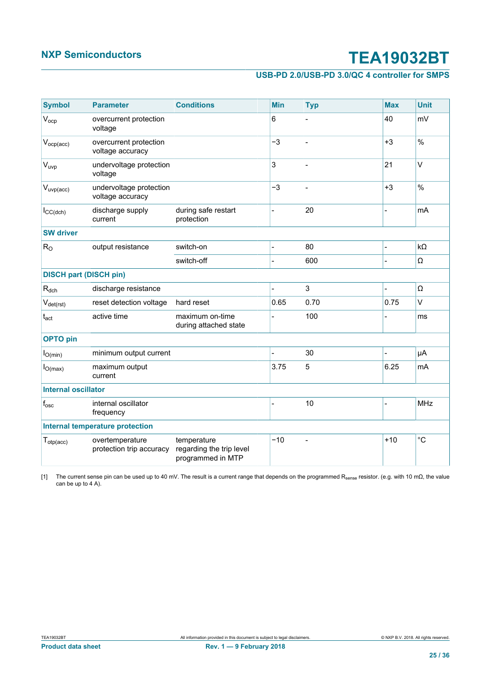#### **USB-PD 2.0/USB-PD 3.0/QC 4 controller for SMPS**

<span id="page-24-0"></span>

| <b>Symbol</b>                 | <b>Parameter</b>                            | <b>Conditions</b>                                            |                | Min   | <b>Typ</b>     | <b>Max</b> | <b>Unit</b> |
|-------------------------------|---------------------------------------------|--------------------------------------------------------------|----------------|-------|----------------|------------|-------------|
| $V_{ocp}$                     | overcurrent protection<br>voltage           |                                                              | 6              |       |                | 40         | mV          |
| $V_{ocp(acc)}$                | overcurrent protection<br>voltage accuracy  |                                                              | $-3$           |       |                | $+3$       | $\%$        |
| $V_{uvp}$                     | undervoltage protection<br>voltage          |                                                              | 3              |       | $\overline{a}$ | 21         | $\vee$      |
| $V_{\text{uvp}(acc)}$         | undervoltage protection<br>voltage accuracy |                                                              | $-3$           |       |                | $+3$       | $\%$        |
| $I_{CC(dch)}$                 | discharge supply<br>current                 | during safe restart<br>protection                            |                |       | 20             |            | mA          |
| <b>SW</b> driver              |                                             |                                                              |                |       |                |            |             |
| $R_{O}$                       | output resistance                           | switch-on                                                    |                |       | 80             |            | $k\Omega$   |
|                               |                                             | switch-off                                                   |                |       | 600            |            | Ω           |
| <b>DISCH part (DISCH pin)</b> |                                             |                                                              |                |       |                |            |             |
| $R_{dch}$                     | discharge resistance                        |                                                              |                |       | 3              |            | Ω           |
| $V_{\text{det(rst)}}$         | reset detection voltage                     | hard reset                                                   |                | 0.65  | 0.70           | 0.75       | $\vee$      |
| $t_{\rm act}$                 | active time                                 | maximum on-time<br>during attached state                     |                |       | 100            |            | ms          |
| <b>OPTO</b> pin               |                                             |                                                              |                |       |                |            |             |
| $I_{O(min)}$                  | minimum output current                      |                                                              |                |       | 30             |            | μA          |
| $I_{O(max)}$                  | maximum output<br>current                   |                                                              |                | 3.75  | 5              | 6.25       | <b>mA</b>   |
| <b>Internal oscillator</b>    |                                             |                                                              |                |       |                |            |             |
| $f_{\rm osc}$                 | internal oscillator<br>frequency            |                                                              | $\overline{a}$ |       | 10             |            | <b>MHz</b>  |
|                               | Internal temperature protection             |                                                              |                |       |                |            |             |
| $T_{otp(acc)}$                | overtemperature<br>protection trip accuracy | temperature<br>regarding the trip level<br>programmed in MTP |                | $-10$ | $\overline{a}$ | $+10$      | $^{\circ}C$ |

[1] The current sense pin can be used up to 40 mV. The result is a current range that depends on the programmed R<sub>sense</sub> resistor. (e.g. with 10 mΩ, the value can be up to 4 A).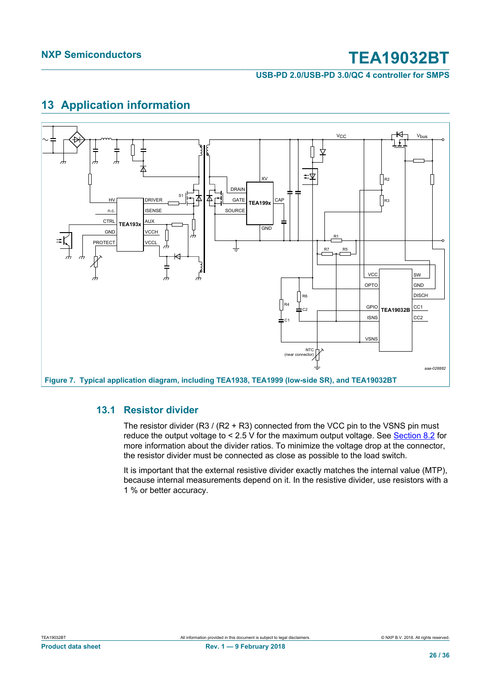**USB-PD 2.0/USB-PD 3.0/QC 4 controller for SMPS**

### <span id="page-25-1"></span>**13 Application information**

<span id="page-25-0"></span>

#### **13.1 Resistor divider**

<span id="page-25-2"></span>The resistor divider  $(R3 / (R2 + R3)$  connected from the VCC pin to the VSNS pin must reduce the output voltage to < 2.5 V for the maximum output voltage. See [Section 8.2](#page-7-0) for more information about the divider ratios. To minimize the voltage drop at the connector, the resistor divider must be connected as close as possible to the load switch.

It is important that the external resistive divider exactly matches the internal value (MTP), because internal measurements depend on it. In the resistive divider, use resistors with a 1 % or better accuracy.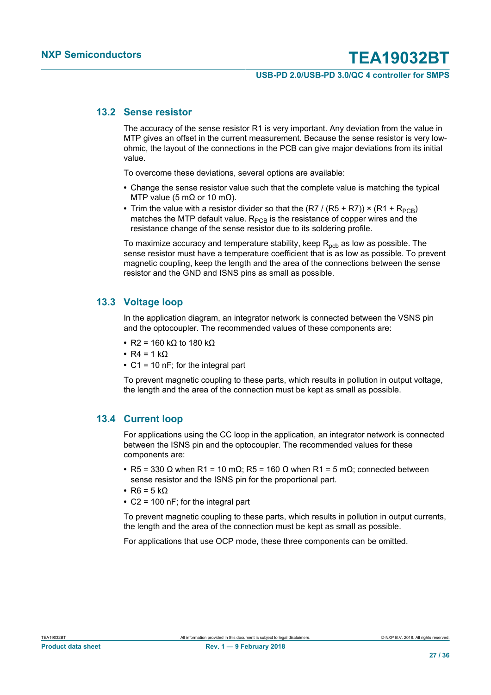#### **USB-PD 2.0/USB-PD 3.0/QC 4 controller for SMPS**

#### **13.2 Sense resistor**

<span id="page-26-1"></span>The accuracy of the sense resistor R1 is very important. Any deviation from the value in MTP gives an offset in the current measurement. Because the sense resistor is very lowohmic, the layout of the connections in the PCB can give major deviations from its initial value.

To overcome these deviations, several options are available:

- **•** Change the sense resistor value such that the complete value is matching the typical MTP value (5 mΩ or 10 mΩ).
- Trim the value with a resistor divider so that the  $(R7 / (R5 + R7)) \times (R1 + R_{PCR})$ matches the MTP default value.  $R_{PCB}$  is the resistance of copper wires and the resistance change of the sense resistor due to its soldering profile.

To maximize accuracy and temperature stability, keep  $R_{pcb}$  as low as possible. The sense resistor must have a temperature coefficient that is as low as possible. To prevent magnetic coupling, keep the length and the area of the connections between the sense resistor and the GND and ISNS pins as small as possible.

#### **13.3 Voltage loop**

<span id="page-26-0"></span>In the application diagram, an integrator network is connected between the VSNS pin and the optocoupler. The recommended values of these components are:

- **•** R2 = 160 kΩ to 180 kΩ
- **•** R4 = 1 kΩ
- **•** C1 = 10 nF; for the integral part

To prevent magnetic coupling to these parts, which results in pollution in output voltage, the length and the area of the connection must be kept as small as possible.

#### **13.4 Current loop**

<span id="page-26-2"></span>For applications using the CC loop in the application, an integrator network is connected between the ISNS pin and the optocoupler. The recommended values for these components are:

- **•** R5 = 330 Ω when R1 = 10 mΩ; R5 = 160 Ω when R1 = 5 mΩ; connected between sense resistor and the ISNS pin for the proportional part.
- **•** R6 = 5 kΩ
- **•** C2 = 100 nF; for the integral part

To prevent magnetic coupling to these parts, which results in pollution in output currents, the length and the area of the connection must be kept as small as possible.

For applications that use OCP mode, these three components can be omitted.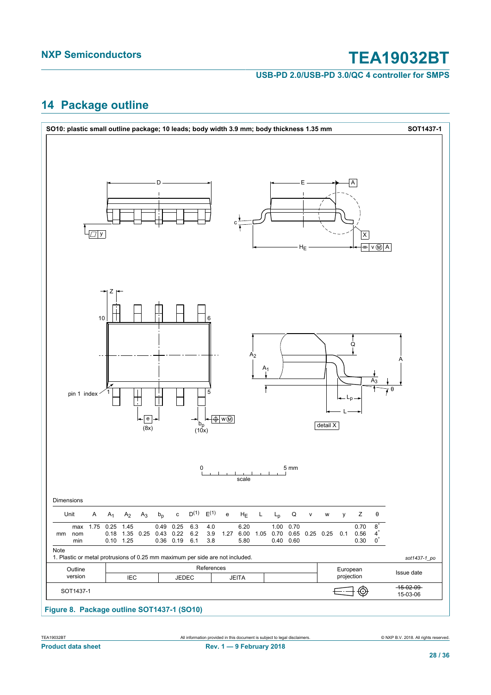**USB-PD 2.0/USB-PD 3.0/QC 4 controller for SMPS**

### <span id="page-27-0"></span>**14 Package outline**



#### **Figure 8. Package outline SOT1437-1 (SO10)**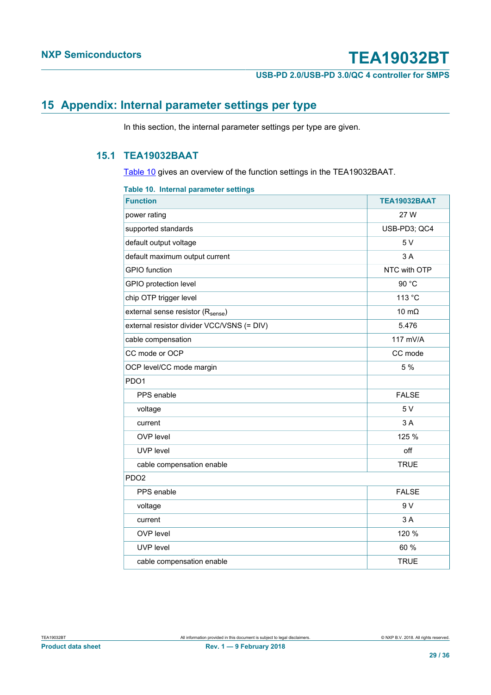**USB-PD 2.0/USB-PD 3.0/QC 4 controller for SMPS**

### <span id="page-28-0"></span>**15 Appendix: Internal parameter settings per type**

In this section, the internal parameter settings per type are given.

### **15.1 TEA19032BAAT**

<span id="page-28-2"></span>[Table 10](#page-28-1) gives an overview of the function settings in the TEA19032BAAT.

<span id="page-28-1"></span>

| TEA19032BAAT |
|--------------|
| 27 W         |
| USB-PD3; QC4 |
| 5 V          |
| 3 A          |
| NTC with OTP |
| 90 °C        |
| 113 °C       |
| 10 $m\Omega$ |
| 5.476        |
| 117 mV/A     |
| CC mode      |
| 5 %          |
|              |
| <b>FALSE</b> |
| 5 V          |
| 3 A          |
| 125 %        |
| off          |
| <b>TRUE</b>  |
|              |
| <b>FALSE</b> |
| 9 V          |
| 3 A          |
| 120 %        |
| 60 %         |
| <b>TRUE</b>  |
|              |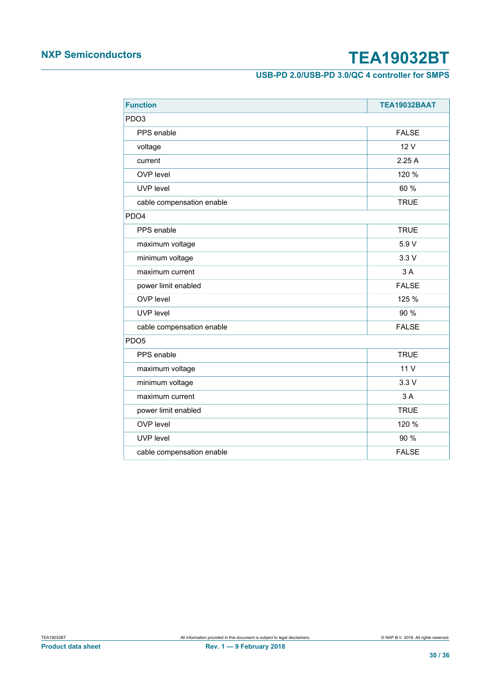### **USB-PD 2.0/USB-PD 3.0/QC 4 controller for SMPS**

| <b>Function</b>           | TEA19032BAAT |
|---------------------------|--------------|
| PDO <sub>3</sub>          |              |
| PPS enable                | <b>FALSE</b> |
| voltage                   | 12 V         |
| current                   | 2.25A        |
| OVP level                 | 120 %        |
| UVP level                 | 60 %         |
| cable compensation enable | <b>TRUE</b>  |
| PD <sub>O4</sub>          |              |
| PPS enable                | <b>TRUE</b>  |
| maximum voltage           | 5.9 V        |
| minimum voltage           | 3.3V         |
| maximum current           | 3 A          |
| power limit enabled       | <b>FALSE</b> |
| OVP level                 | 125 %        |
| UVP level                 | 90 %         |
| cable compensation enable | <b>FALSE</b> |
| PD <sub>O5</sub>          |              |
| PPS enable                | <b>TRUE</b>  |
| maximum voltage           | 11 V         |
| minimum voltage           | 3.3V         |
| maximum current           | 3A           |
| power limit enabled       | <b>TRUE</b>  |
| OVP level                 | 120 %        |
| UVP level                 | 90 %         |
| cable compensation enable | <b>FALSE</b> |
|                           |              |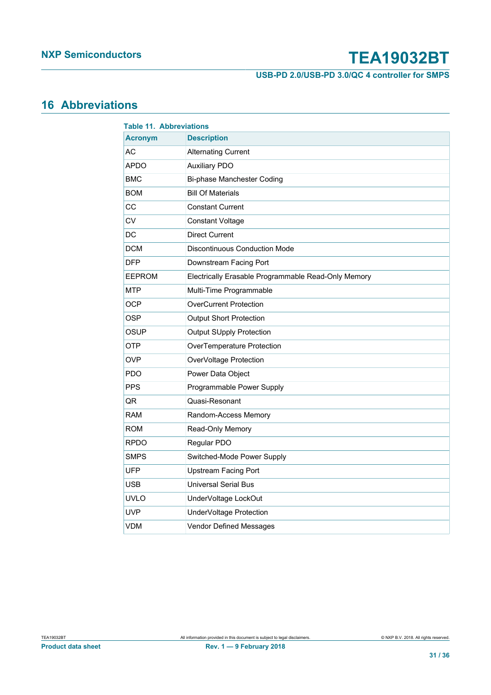**USB-PD 2.0/USB-PD 3.0/QC 4 controller for SMPS**

### <span id="page-30-0"></span>**16 Abbreviations**

| <b>Table 11. Abbreviations</b> |                                                     |  |  |
|--------------------------------|-----------------------------------------------------|--|--|
| <b>Acronym</b>                 | <b>Description</b>                                  |  |  |
| AC                             | <b>Alternating Current</b>                          |  |  |
| <b>APDO</b>                    | <b>Auxiliary PDO</b>                                |  |  |
| <b>BMC</b>                     | Bi-phase Manchester Coding                          |  |  |
| <b>BOM</b>                     | <b>Bill Of Materials</b>                            |  |  |
| CС                             | <b>Constant Current</b>                             |  |  |
| CV                             | <b>Constant Voltage</b>                             |  |  |
| DC                             | <b>Direct Current</b>                               |  |  |
| <b>DCM</b>                     | <b>Discontinuous Conduction Mode</b>                |  |  |
| <b>DFP</b>                     | Downstream Facing Port                              |  |  |
| <b>EEPROM</b>                  | Electrically Erasable Programmable Read-Only Memory |  |  |
| <b>MTP</b>                     | Multi-Time Programmable                             |  |  |
| <b>OCP</b>                     | <b>OverCurrent Protection</b>                       |  |  |
| <b>OSP</b>                     | <b>Output Short Protection</b>                      |  |  |
| <b>OSUP</b>                    | <b>Output SUpply Protection</b>                     |  |  |
| <b>OTP</b>                     | OverTemperature Protection                          |  |  |
| OVP                            | OverVoltage Protection                              |  |  |
| <b>PDO</b>                     | Power Data Object                                   |  |  |
| <b>PPS</b>                     | Programmable Power Supply                           |  |  |
| QR                             | Quasi-Resonant                                      |  |  |
| <b>RAM</b>                     | Random-Access Memory                                |  |  |
| <b>ROM</b>                     | Read-Only Memory                                    |  |  |
| <b>RPDO</b>                    | Regular PDO                                         |  |  |
| <b>SMPS</b>                    | Switched-Mode Power Supply                          |  |  |
| <b>UFP</b>                     | <b>Upstream Facing Port</b>                         |  |  |
| <b>USB</b>                     | <b>Universal Serial Bus</b>                         |  |  |
| <b>UVLO</b>                    | UnderVoltage LockOut                                |  |  |
| <b>UVP</b>                     | UnderVoltage Protection                             |  |  |
| <b>VDM</b>                     | Vendor Defined Messages                             |  |  |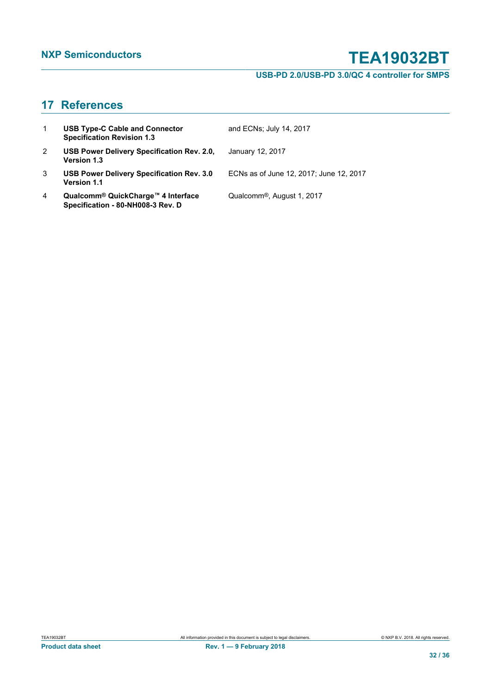### **USB-PD 2.0/USB-PD 3.0/QC 4 controller for SMPS**

### <span id="page-31-0"></span>**17 References**

| $\mathbf{1}$          | <b>USB Type-C Cable and Connector</b><br><b>Specification Revision 1.3</b>          | and ECNs; July 14, 2017                 |
|-----------------------|-------------------------------------------------------------------------------------|-----------------------------------------|
| $\mathbf{2}^{\prime}$ | USB Power Delivery Specification Rev. 2.0,<br><b>Version 1.3</b>                    | January 12, 2017                        |
| 3                     | USB Power Delivery Specification Rev. 3.0<br><b>Version 1.1</b>                     | ECNs as of June 12, 2017; June 12, 2017 |
| 4                     | Qualcomm <sup>®</sup> QuickCharge™ 4 Interface<br>Specification - 80-NH008-3 Rev. D | Qualcomm <sup>®</sup> , August 1, 2017  |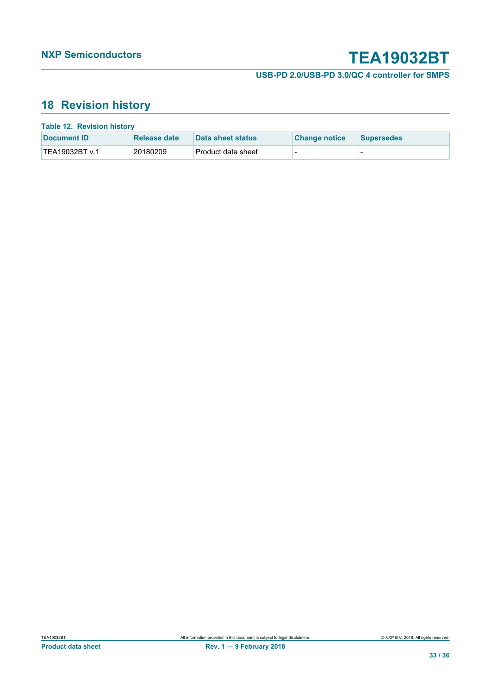**USB-PD 2.0/USB-PD 3.0/QC 4 controller for SMPS**

### <span id="page-32-0"></span>**18 Revision history**

| <b>Table 12. Revision history</b> |              |                    |                      |                   |
|-----------------------------------|--------------|--------------------|----------------------|-------------------|
| Document <b>ID</b>                | Release date | Data sheet status  | <b>Change notice</b> | <b>Supersedes</b> |
| TEA19032BT v.1                    | 20180209     | Product data sheet | -                    |                   |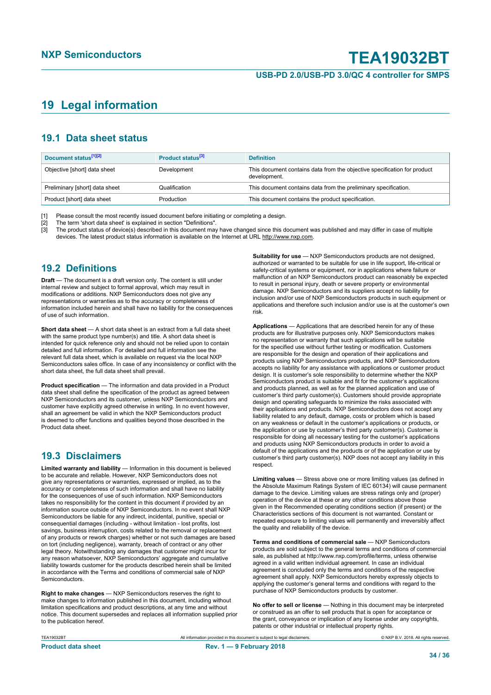#### **USB-PD 2.0/USB-PD 3.0/QC 4 controller for SMPS**

### <span id="page-33-0"></span>**19 Legal information**

#### **19.1 Data sheet status**

| Document status <sup>[1][2]</sup> | Product status <sup>[3]</sup> | <b>Definition</b>                                                                        |
|-----------------------------------|-------------------------------|------------------------------------------------------------------------------------------|
| Objective [short] data sheet      | Development                   | This document contains data from the objective specification for product<br>development. |
| Preliminary [short] data sheet    | Qualification                 | This document contains data from the preliminary specification.                          |
| Product [short] data sheet        | Production                    | This document contains the product specification.                                        |

[1] Please consult the most recently issued document before initiating or completing a design.<br>
[2] The term 'short data sheet' is explained in section "Definitions".<br>
[3] The product status of device(s) described in this

[2] The term 'short data sheet' is explained in section "Definitions".

[3] The product status of device(s) described in this document may have changed since this document was published and may differ in case of multiple devices. The latest product status information is available on the Internet at URL http://www.nxp.com.

#### **19.2 Definitions**

**Draft** — The document is a draft version only. The content is still under internal review and subject to formal approval, which may result in modifications or additions. NXP Semiconductors does not give any representations or warranties as to the accuracy or completeness of information included herein and shall have no liability for the consequences of use of such information.

**Short data sheet** — A short data sheet is an extract from a full data sheet with the same product type number(s) and title. A short data sheet is intended for quick reference only and should not be relied upon to contain detailed and full information. For detailed and full information see the relevant full data sheet, which is available on request via the local NXP Semiconductors sales office. In case of any inconsistency or conflict with the short data sheet, the full data sheet shall prevail.

**Product specification** — The information and data provided in a Product data sheet shall define the specification of the product as agreed between NXP Semiconductors and its customer, unless NXP Semiconductors and customer have explicitly agreed otherwise in writing. In no event however, shall an agreement be valid in which the NXP Semiconductors product is deemed to offer functions and qualities beyond those described in the Product data sheet.

### **19.3 Disclaimers**

**Limited warranty and liability** — Information in this document is believed to be accurate and reliable. However, NXP Semiconductors does not give any representations or warranties, expressed or implied, as to the accuracy or completeness of such information and shall have no liability for the consequences of use of such information. NXP Semiconductors takes no responsibility for the content in this document if provided by an information source outside of NXP Semiconductors. In no event shall NXP Semiconductors be liable for any indirect, incidental, punitive, special or consequential damages (including - without limitation - lost profits, lost savings, business interruption, costs related to the removal or replacement of any products or rework charges) whether or not such damages are based on tort (including negligence), warranty, breach of contract or any other legal theory. Notwithstanding any damages that customer might incur for any reason whatsoever, NXP Semiconductors' aggregate and cumulative liability towards customer for the products described herein shall be limited in accordance with the Terms and conditions of commercial sale of NXP **Semiconductors** 

**Right to make changes** — NXP Semiconductors reserves the right to make changes to information published in this document, including without limitation specifications and product descriptions, at any time and without notice. This document supersedes and replaces all information supplied prior to the publication hereof.

**Suitability for use** - NXP Semiconductors products are not designed, authorized or warranted to be suitable for use in life support, life-critical or safety-critical systems or equipment, nor in applications where failure or malfunction of an NXP Semiconductors product can reasonably be expected to result in personal injury, death or severe property or environmental damage. NXP Semiconductors and its suppliers accept no liability for inclusion and/or use of NXP Semiconductors products in such equipment or applications and therefore such inclusion and/or use is at the customer's own risk.

**Applications** — Applications that are described herein for any of these products are for illustrative purposes only. NXP Semiconductors makes no representation or warranty that such applications will be suitable for the specified use without further testing or modification. Customers are responsible for the design and operation of their applications and products using NXP Semiconductors products, and NXP Semiconductors accepts no liability for any assistance with applications or customer product design. It is customer's sole responsibility to determine whether the NXP Semiconductors product is suitable and fit for the customer's applications and products planned, as well as for the planned application and use of customer's third party customer(s). Customers should provide appropriate design and operating safeguards to minimize the risks associated with their applications and products. NXP Semiconductors does not accept any liability related to any default, damage, costs or problem which is based on any weakness or default in the customer's applications or products, or the application or use by customer's third party customer(s). Customer is responsible for doing all necessary testing for the customer's applications and products using NXP Semiconductors products in order to avoid a default of the applications and the products or of the application or use by customer's third party customer(s). NXP does not accept any liability in this respect.

**Limiting values** — Stress above one or more limiting values (as defined in the Absolute Maximum Ratings System of IEC 60134) will cause permanent damage to the device. Limiting values are stress ratings only and (proper) operation of the device at these or any other conditions above those given in the Recommended operating conditions section (if present) or the Characteristics sections of this document is not warranted. Constant or repeated exposure to limiting values will permanently and irreversibly affect the quality and reliability of the device.

**Terms and conditions of commercial sale** — NXP Semiconductors products are sold subject to the general terms and conditions of commercial sale, as published at http://www.nxp.com/profile/terms, unless otherwise agreed in a valid written individual agreement. In case an individual agreement is concluded only the terms and conditions of the respective agreement shall apply. NXP Semiconductors hereby expressly objects to applying the customer's general terms and conditions with regard to the purchase of NXP Semiconductors products by customer.

**No offer to sell or license** — Nothing in this document may be interpreted or construed as an offer to sell products that is open for acceptance or the grant, conveyance or implication of any license under any copyrights, patents or other industrial or intellectual property rights.

TEA19032BT **All information provided in this document** is subject to legal disclaimers. **COMPART CONTANT CONTANT CONTANT CONTANT CONTANT CONTANT CONTANT CONTANT CONTANT CONTANT CONTANT CONTANT CONTANT CONTANT ALL RIGHTS r Product data sheet Rev. 1 — 9 February 2018**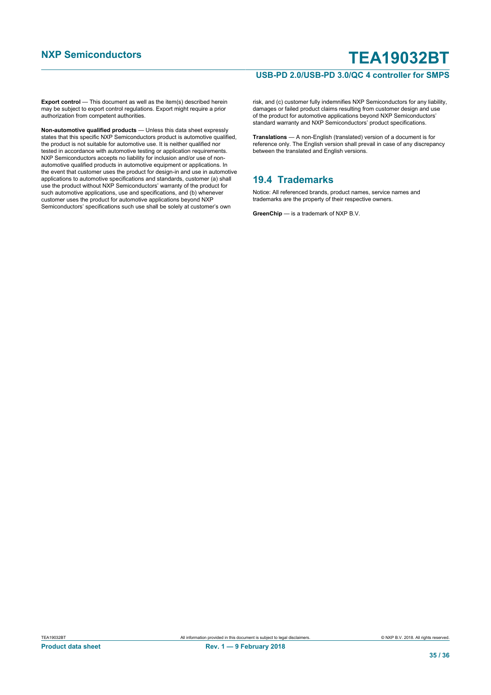#### **USB-PD 2.0/USB-PD 3.0/QC 4 controller for SMPS**

**Export control** — This document as well as the item(s) described herein may be subject to export control regulations. Export might require a prior authorization from competent authorities.

**Non-automotive qualified products** — Unless this data sheet expressly states that this specific NXP Semiconductors product is automotive qualified, the product is not suitable for automotive use. It is neither qualified nor the process of the conductive testiments of the mathematic quality of the steed in accordance with automotive testing or application requirements. NXP Semiconductors accepts no liability for inclusion and/or use of nonautomotive qualified products in automotive equipment or applications. In the event that customer uses the product for design-in and use in automotive applications to automotive specifications and standards, customer (a) shall use the product without NXP Semiconductors' warranty of the product for such automotive applications, use and specifications, and (b) whenever customer uses the product for automotive applications beyond NXP Semiconductors' specifications such use shall be solely at customer's own

risk, and (c) customer fully indemnifies NXP Semiconductors for any liability, damages or failed product claims resulting from customer design and use of the product for automotive applications beyond NXP Semiconductors' standard warranty and NXP Semiconductors' product specifications.

**Translations** — A non-English (translated) version of a document is for reference only. The English version shall prevail in case of any discrepancy between the translated and English versions.

#### **19.4 Trademarks**

Notice: All referenced brands, product names, service names and trademarks are the property of their respective owners.

**GreenChip** — is a trademark of NXP B.V.